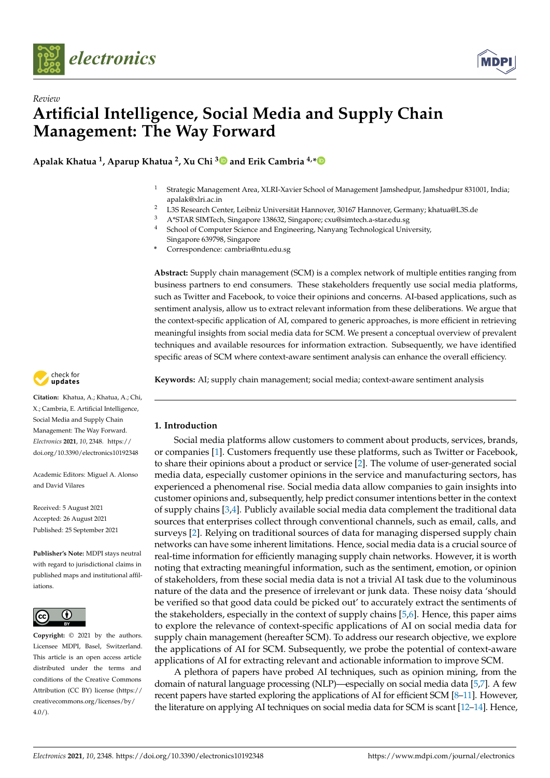



# *Review* **Artificial Intelligence, Social Media and Supply Chain Management: The Way Forward**

**Apalak Khatua <sup>1</sup> , Aparup Khatua <sup>2</sup> , Xu Chi [3](https://orcid.org/0000-0001-5480-3974) and Erik Cambria 4,[\\*](https://orcid.org/0000-0002-3030-1280)**

- <sup>1</sup> Strategic Management Area, XLRI-Xavier School of Management Jamshedpur, Jamshedpur 831001, India; apalak@xlri.ac.in
- <sup>2</sup> L3S Research Center, Leibniz Universität Hannover, 30167 Hannover, Germany; khatua@L3S.de<br><sup>3</sup> A\*STA R SIMTech Singapore 138632 Singapore: exu@simtech a star edu so
- <sup>3</sup> A\*STAR SIMTech, Singapore 138632, Singapore; cxu@simtech.a-star.edu.sg
- School of Computer Science and Engineering, Nanyang Technological University, Singapore 639798, Singapore
- **\*** Correspondence: cambria@ntu.edu.sg

**Abstract:** Supply chain management (SCM) is a complex network of multiple entities ranging from business partners to end consumers. These stakeholders frequently use social media platforms, such as Twitter and Facebook, to voice their opinions and concerns. AI-based applications, such as sentiment analysis, allow us to extract relevant information from these deliberations. We argue that the context-specific application of AI, compared to generic approaches, is more efficient in retrieving meaningful insights from social media data for SCM. We present a conceptual overview of prevalent techniques and available resources for information extraction. Subsequently, we have identified specific areas of SCM where context-aware sentiment analysis can enhance the overall efficiency.

**Keywords:** AI; supply chain management; social media; context-aware sentiment analysis

# **1. Introduction**

Social media platforms allow customers to comment about products, services, brands, or companies [\[1\]](#page-16-0). Customers frequently use these platforms, such as Twitter or Facebook, to share their opinions about a product or service [\[2\]](#page-16-1). The volume of user-generated social media data, especially customer opinions in the service and manufacturing sectors, has experienced a phenomenal rise. Social media data allow companies to gain insights into customer opinions and, subsequently, help predict consumer intentions better in the context of supply chains [\[3,](#page-16-2)[4\]](#page-16-3). Publicly available social media data complement the traditional data sources that enterprises collect through conventional channels, such as email, calls, and surveys [\[2\]](#page-16-1). Relying on traditional sources of data for managing dispersed supply chain networks can have some inherent limitations. Hence, social media data is a crucial source of real-time information for efficiently managing supply chain networks. However, it is worth noting that extracting meaningful information, such as the sentiment, emotion, or opinion of stakeholders, from these social media data is not a trivial AI task due to the voluminous nature of the data and the presence of irrelevant or junk data. These noisy data 'should be verified so that good data could be picked out' to accurately extract the sentiments of the stakeholders, especially in the context of supply chains [\[5](#page-16-4)[,6\]](#page-16-5). Hence, this paper aims to explore the relevance of context-specific applications of AI on social media data for supply chain management (hereafter SCM). To address our research objective, we explore the applications of AI for SCM. Subsequently, we probe the potential of context-aware applications of AI for extracting relevant and actionable information to improve SCM.

A plethora of papers have probed AI techniques, such as opinion mining, from the domain of natural language processing (NLP)—especially on social media data [\[5,](#page-16-4)[7\]](#page-16-6). A few recent papers have started exploring the applications of AI for efficient SCM [\[8](#page-16-7)[–11\]](#page-16-8). However, the literature on applying AI techniques on social media data for SCM is scant [\[12](#page-16-9)[–14\]](#page-16-10). Hence,



**Citation:** Khatua, A.; Khatua, A.; Chi, X.; Cambria, E. Artificial Intelligence, Social Media and Supply Chain Management: The Way Forward. *Electronics* **2021**, *10*, 2348. [https://](https://doi.org/10.3390/electronics10192348) [doi.org/10.3390/electronics10192348](https://doi.org/10.3390/electronics10192348)

Academic Editors: Miguel A. Alonso and David Vilares

Received: 5 August 2021 Accepted: 26 August 2021 Published: 25 September 2021

**Publisher's Note:** MDPI stays neutral with regard to jurisdictional claims in published maps and institutional affiliations.



**Copyright:** © 2021 by the authors. Licensee MDPI, Basel, Switzerland. This article is an open access article distributed under the terms and conditions of the Creative Commons Attribution (CC BY) license (https:/[/](https://creativecommons.org/licenses/by/4.0/) [creativecommons.org/licenses/by/](https://creativecommons.org/licenses/by/4.0/) 4.0/).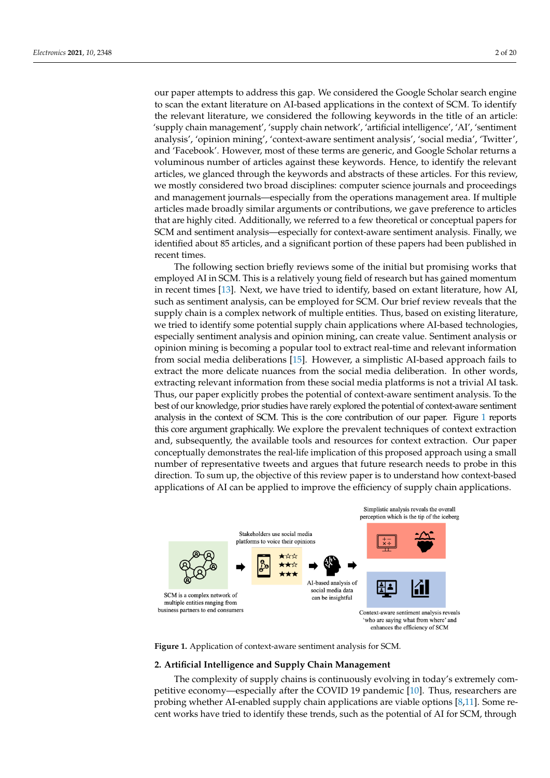our paper attempts to address this gap. We considered the Google Scholar search engine to scan the extant literature on AI-based applications in the context of SCM. To identify the relevant literature, we considered the following keywords in the title of an article: 'supply chain management', 'supply chain network', 'artificial intelligence', 'AI', 'sentiment analysis', 'opinion mining', 'context-aware sentiment analysis', 'social media', 'Twitter', and 'Facebook'. However, most of these terms are generic, and Google Scholar returns a<br>declines and absorption of the keywords and absorption of the keywords of the keywords of the keywords of the voluminous number of articles against these keywords. Hence, to identify the relevant articles, we glanced through the keywords and abstracts of these articles. For this review,<br>ceedings and have all the best distributions management area. If you do not have a linear we mostly considered two broad disciplines: computer science journals and proceedings meany considered two stodd disciplines. Computer settince journals and proceedings and management journals—especially from the operations management area. If multiple articles made broadly similar arguments or contributions, we gave preference to articles at determined broadly similar arguments of contributions, we gave preference to articles<br>that are highly cited. Additionally, we referred to a few theoretical or conceptual papers for and the raginy creed. Hetallichally, we referred to a few dicertified above context-aware sentiment analysis. Finally, we schedule about 85 are seen in the significant portion of the significant portion of the significant identified about 85 articles, and a significant portion of these papers had been published in recent times. search engine to scan the extant literature on AI-based applications in the context of SCM. our paper attempts to address this gap. We considered the Google Scholar search engine  $T_{\rm{rms}}$  reviews some of the initial but proposed in  $\epsilon$  in the initial but promising  $\epsilon$  in a section of the initial but promising works that  $\epsilon$ 

The following section briefly reviews some of the initial but promising works that employed AI in SCM. This is a relatively young field of research but has gained momentum in recent times [\[13\]](#page-16-11). Next, we have tried to identify, based on extant literature, how AI, such as sentiment analysis, can be employed for SCM. Our brief review reveals that the supply chain is a complex network of multiple entities. Thus, based on existing literature, we tried to identify some potential supply chain applications where AI-based technologies, especially sentiment analysis and opinion mining, can create value. Sentiment analysis or opinion mining is becoming a popular tool to extract real-time and relevant information from social media deliberations [\[15\]](#page-16-12). However, a simplistic AI-based approach fails to extract the more delicate nuances from the social media deliberation. In other words, extracting relevant information from these social media platforms is not a trivial AI task. Thus, our paper explicitly probes the potential of context-aware sentiment analysis. To the best of our knowledge, prior studies have rarely explored the potential of context-aware sentiment analysis in the context of SCM. This is the core contribution of our paper. Figure 1 reports this core argument graphically. We explore the prevalent techniques of context extraction and, subsequently, the available tools and resources for context extraction. Our paper conceptually demonstrates the real-life implication of this proposed approach using a small number of representative tweets and argues that future research needs to probe in this direction. To sum up, the objective of this review paper is to understand how context-based applications of AI can be applied to improve the efficiency of supply chain applications.

<span id="page-1-0"></span>

Figure 1. Application of context-aware sentiment analysis for SCM.

## **2. Artificial Intelligence and Supply Chain Management**

The complexity of supply chains is continuously evolving in today's extremely competitive economy—especially after the COVID 19 pandemic [\[10\]](#page-16-13). Thus, researchers are probing whether AI-enabled supply chain applications are viable options [\[8](#page-16-7)[,11\]](#page-16-8). Some recent works have tried to identify these trends, such as the potential of AI for SCM, through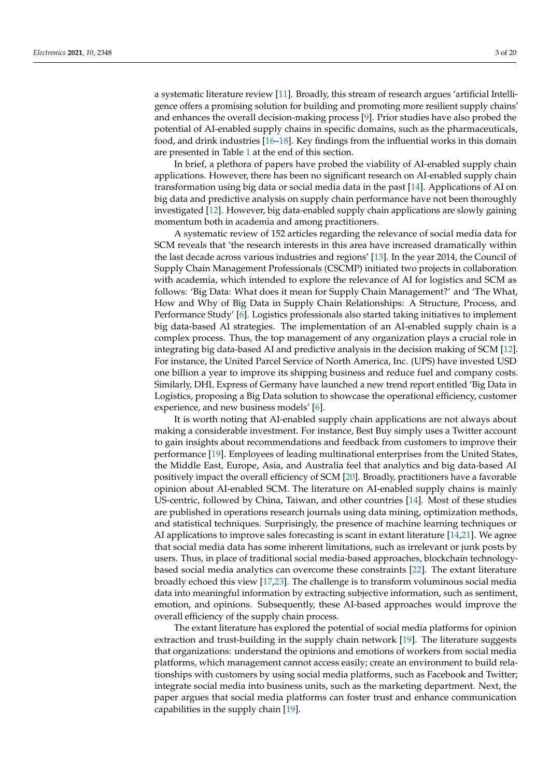a systematic literature review [\[11\]](#page-16-8). Broadly, this stream of research argues 'artificial Intelligence offers a promising solution for building and promoting more resilient supply chains' and enhances the overall decision-making process [\[9\]](#page-16-14). Prior studies have also probed the potential of AI-enabled supply chains in specific domains, such as the pharmaceuticals, food, and drink industries [\[16](#page-16-15)[–18\]](#page-16-16). Key findings from the influential works in this domain are presented in Table [1](#page-5-0) at the end of this section.

In brief, a plethora of papers have probed the viability of AI-enabled supply chain applications. However, there has been no significant research on AI-enabled supply chain transformation using big data or social media data in the past [\[14\]](#page-16-10). Applications of AI on big data and predictive analysis on supply chain performance have not been thoroughly investigated [\[12\]](#page-16-9). However, big data-enabled supply chain applications are slowly gaining momentum both in academia and among practitioners.

A systematic review of 152 articles regarding the relevance of social media data for SCM reveals that 'the research interests in this area have increased dramatically within the last decade across various industries and regions' [\[13\]](#page-16-11). In the year 2014, the Council of Supply Chain Management Professionals (CSCMP) initiated two projects in collaboration with academia, which intended to explore the relevance of AI for logistics and SCM as follows: 'Big Data: What does it mean for Supply Chain Management?' and 'The What, How and Why of Big Data in Supply Chain Relationships: A Structure, Process, and Performance Study' [\[6\]](#page-16-5). Logistics professionals also started taking initiatives to implement big data-based AI strategies. The implementation of an AI-enabled supply chain is a complex process. Thus, the top management of any organization plays a crucial role in integrating big data-based AI and predictive analysis in the decision making of SCM [\[12\]](#page-16-9). For instance, the United Parcel Service of North America, Inc. (UPS) have invested USD one billion a year to improve its shipping business and reduce fuel and company costs. Similarly, DHL Express of Germany have launched a new trend report entitled 'Big Data in Logistics, proposing a Big Data solution to showcase the operational efficiency, customer experience, and new business models' [\[6\]](#page-16-5).

It is worth noting that AI-enabled supply chain applications are not always about making a considerable investment. For instance, Best Buy simply uses a Twitter account to gain insights about recommendations and feedback from customers to improve their performance [\[19\]](#page-16-17). Employees of leading multinational enterprises from the United States, the Middle East, Europe, Asia, and Australia feel that analytics and big data-based AI positively impact the overall efficiency of SCM [\[20\]](#page-16-18). Broadly, practitioners have a favorable opinion about AI-enabled SCM. The literature on AI-enabled supply chains is mainly US-centric, followed by China, Taiwan, and other countries [\[14\]](#page-16-10). Most of these studies are published in operations research journals using data mining, optimization methods, and statistical techniques. Surprisingly, the presence of machine learning techniques or AI applications to improve sales forecasting is scant in extant literature [\[14](#page-16-10)[,21\]](#page-16-19). We agree that social media data has some inherent limitations, such as irrelevant or junk posts by users. Thus, in place of traditional social media-based approaches, blockchain technologybased social media analytics can overcome these constraints [\[22\]](#page-16-20). The extant literature broadly echoed this view [\[17](#page-16-21)[,23\]](#page-16-22). The challenge is to transform voluminous social media data into meaningful information by extracting subjective information, such as sentiment, emotion, and opinions. Subsequently, these AI-based approaches would improve the overall efficiency of the supply chain process.

The extant literature has explored the potential of social media platforms for opinion extraction and trust-building in the supply chain network [\[19\]](#page-16-17). The literature suggests that organizations: understand the opinions and emotions of workers from social media platforms, which management cannot access easily; create an environment to build relationships with customers by using social media platforms, such as Facebook and Twitter; integrate social media into business units, such as the marketing department. Next, the paper argues that social media platforms can foster trust and enhance communication capabilities in the supply chain [\[19\]](#page-16-17).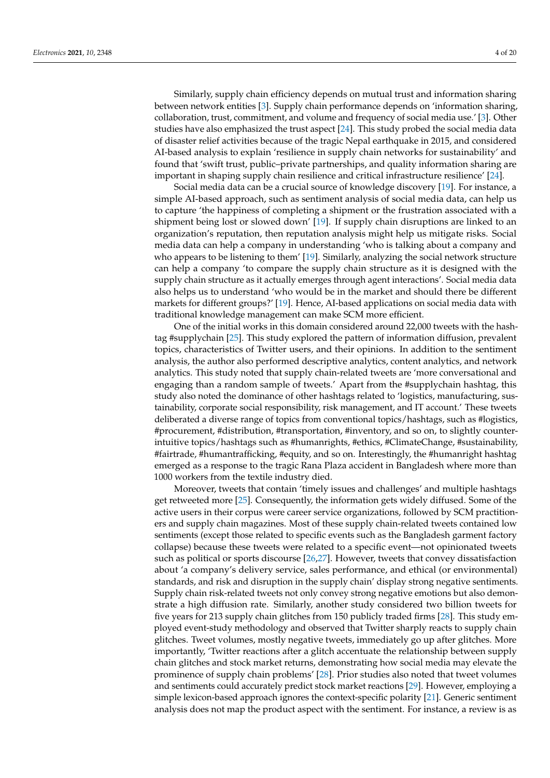Similarly, supply chain efficiency depends on mutual trust and information sharing between network entities [\[3\]](#page-16-2). Supply chain performance depends on 'information sharing, collaboration, trust, commitment, and volume and frequency of social media use.' [\[3\]](#page-16-2). Other studies have also emphasized the trust aspect [\[24\]](#page-16-23). This study probed the social media data of disaster relief activities because of the tragic Nepal earthquake in 2015, and considered AI-based analysis to explain 'resilience in supply chain networks for sustainability' and found that 'swift trust, public–private partnerships, and quality information sharing are important in shaping supply chain resilience and critical infrastructure resilience' [\[24\]](#page-16-23).

Social media data can be a crucial source of knowledge discovery [\[19\]](#page-16-17). For instance, a simple AI-based approach, such as sentiment analysis of social media data, can help us to capture 'the happiness of completing a shipment or the frustration associated with a shipment being lost or slowed down' [\[19\]](#page-16-17). If supply chain disruptions are linked to an organization's reputation, then reputation analysis might help us mitigate risks. Social media data can help a company in understanding 'who is talking about a company and who appears to be listening to them' [\[19\]](#page-16-17). Similarly, analyzing the social network structure can help a company 'to compare the supply chain structure as it is designed with the supply chain structure as it actually emerges through agent interactions'. Social media data also helps us to understand 'who would be in the market and should there be different markets for different groups?' [\[19\]](#page-16-17). Hence, AI-based applications on social media data with traditional knowledge management can make SCM more efficient.

One of the initial works in this domain considered around 22,000 tweets with the hashtag #supplychain [\[25\]](#page-16-24). This study explored the pattern of information diffusion, prevalent topics, characteristics of Twitter users, and their opinions. In addition to the sentiment analysis, the author also performed descriptive analytics, content analytics, and network analytics. This study noted that supply chain-related tweets are 'more conversational and engaging than a random sample of tweets.' Apart from the #supplychain hashtag, this study also noted the dominance of other hashtags related to 'logistics, manufacturing, sustainability, corporate social responsibility, risk management, and IT account.' These tweets deliberated a diverse range of topics from conventional topics/hashtags, such as #logistics, #procurement, #distribution, #transportation, #inventory, and so on, to slightly counterintuitive topics/hashtags such as #humanrights, #ethics, #ClimateChange, #sustainability, #fairtrade, #humantrafficking, #equity, and so on. Interestingly, the #humanright hashtag emerged as a response to the tragic Rana Plaza accident in Bangladesh where more than 1000 workers from the textile industry died.

Moreover, tweets that contain 'timely issues and challenges' and multiple hashtags get retweeted more [\[25\]](#page-16-24). Consequently, the information gets widely diffused. Some of the active users in their corpus were career service organizations, followed by SCM practitioners and supply chain magazines. Most of these supply chain-related tweets contained low sentiments (except those related to specific events such as the Bangladesh garment factory collapse) because these tweets were related to a specific event—not opinionated tweets such as political or sports discourse [\[26,](#page-16-25)[27\]](#page-17-0). However, tweets that convey dissatisfaction about 'a company's delivery service, sales performance, and ethical (or environmental) standards, and risk and disruption in the supply chain' display strong negative sentiments. Supply chain risk-related tweets not only convey strong negative emotions but also demonstrate a high diffusion rate. Similarly, another study considered two billion tweets for five years for 213 supply chain glitches from 150 publicly traded firms [\[28\]](#page-17-1). This study employed event-study methodology and observed that Twitter sharply reacts to supply chain glitches. Tweet volumes, mostly negative tweets, immediately go up after glitches. More importantly, 'Twitter reactions after a glitch accentuate the relationship between supply chain glitches and stock market returns, demonstrating how social media may elevate the prominence of supply chain problems' [\[28\]](#page-17-1). Prior studies also noted that tweet volumes and sentiments could accurately predict stock market reactions [\[29\]](#page-17-2). However, employing a simple lexicon-based approach ignores the context-specific polarity [\[21\]](#page-16-19). Generic sentiment analysis does not map the product aspect with the sentiment. For instance, a review is as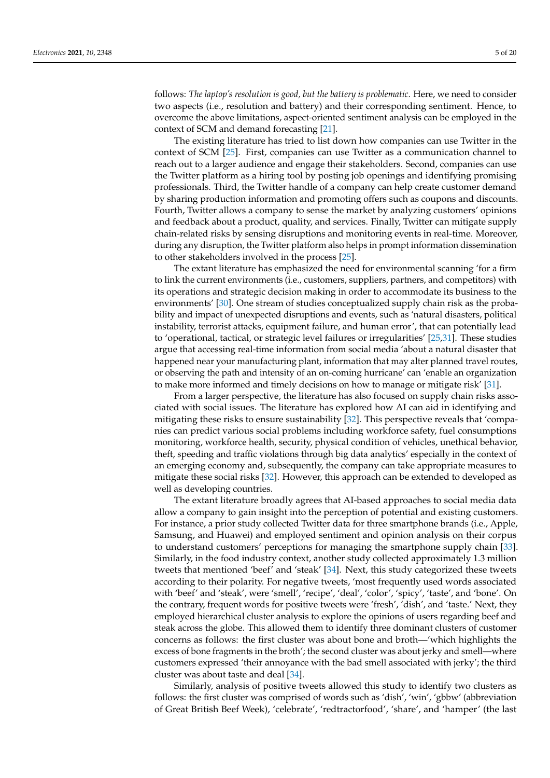follows: *The laptop's resolution is good, but the battery is problematic*. Here, we need to consider two aspects (i.e., resolution and battery) and their corresponding sentiment. Hence, to overcome the above limitations, aspect-oriented sentiment analysis can be employed in the context of SCM and demand forecasting [\[21\]](#page-16-19).

The existing literature has tried to list down how companies can use Twitter in the context of SCM [\[25\]](#page-16-24). First, companies can use Twitter as a communication channel to reach out to a larger audience and engage their stakeholders. Second, companies can use the Twitter platform as a hiring tool by posting job openings and identifying promising professionals. Third, the Twitter handle of a company can help create customer demand by sharing production information and promoting offers such as coupons and discounts. Fourth, Twitter allows a company to sense the market by analyzing customers' opinions and feedback about a product, quality, and services. Finally, Twitter can mitigate supply chain-related risks by sensing disruptions and monitoring events in real-time. Moreover, during any disruption, the Twitter platform also helps in prompt information dissemination to other stakeholders involved in the process [\[25\]](#page-16-24).

The extant literature has emphasized the need for environmental scanning 'for a firm to link the current environments (i.e., customers, suppliers, partners, and competitors) with its operations and strategic decision making in order to accommodate its business to the environments' [\[30\]](#page-17-3). One stream of studies conceptualized supply chain risk as the probability and impact of unexpected disruptions and events, such as 'natural disasters, political instability, terrorist attacks, equipment failure, and human error', that can potentially lead to 'operational, tactical, or strategic level failures or irregularities' [\[25,](#page-16-24)[31\]](#page-17-4). These studies argue that accessing real-time information from social media 'about a natural disaster that happened near your manufacturing plant, information that may alter planned travel routes, or observing the path and intensity of an on-coming hurricane' can 'enable an organization to make more informed and timely decisions on how to manage or mitigate risk' [\[31\]](#page-17-4).

From a larger perspective, the literature has also focused on supply chain risks associated with social issues. The literature has explored how AI can aid in identifying and mitigating these risks to ensure sustainability [\[32\]](#page-17-5). This perspective reveals that 'companies can predict various social problems including workforce safety, fuel consumptions monitoring, workforce health, security, physical condition of vehicles, unethical behavior, theft, speeding and traffic violations through big data analytics' especially in the context of an emerging economy and, subsequently, the company can take appropriate measures to mitigate these social risks [\[32\]](#page-17-5). However, this approach can be extended to developed as well as developing countries.

The extant literature broadly agrees that AI-based approaches to social media data allow a company to gain insight into the perception of potential and existing customers. For instance, a prior study collected Twitter data for three smartphone brands (i.e., Apple, Samsung, and Huawei) and employed sentiment and opinion analysis on their corpus to understand customers' perceptions for managing the smartphone supply chain [\[33\]](#page-17-6). Similarly, in the food industry context, another study collected approximately 1.3 million tweets that mentioned 'beef' and 'steak' [\[34\]](#page-17-7). Next, this study categorized these tweets according to their polarity. For negative tweets, 'most frequently used words associated with 'beef' and 'steak', were 'smell', 'recipe', 'deal', 'color', 'spicy', 'taste', and 'bone'. On the contrary, frequent words for positive tweets were 'fresh', 'dish', and 'taste.' Next, they employed hierarchical cluster analysis to explore the opinions of users regarding beef and steak across the globe. This allowed them to identify three dominant clusters of customer concerns as follows: the first cluster was about bone and broth—'which highlights the excess of bone fragments in the broth'; the second cluster was about jerky and smell—where customers expressed 'their annoyance with the bad smell associated with jerky'; the third cluster was about taste and deal [\[34\]](#page-17-7).

Similarly, analysis of positive tweets allowed this study to identify two clusters as follows: the first cluster was comprised of words such as 'dish', 'win', 'gbbw' (abbreviation of Great British Beef Week), 'celebrate', 'redtractorfood', 'share', and 'hamper' (the last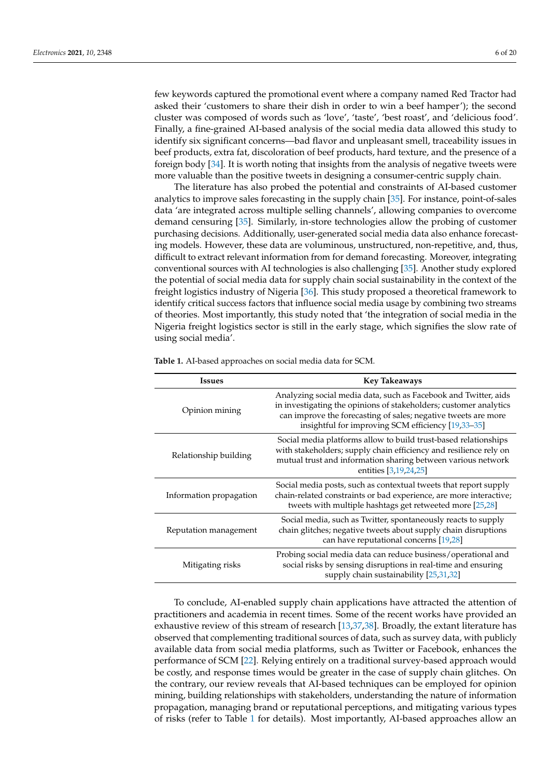few keywords captured the promotional event where a company named Red Tractor had asked their 'customers to share their dish in order to win a beef hamper'); the second cluster was composed of words such as 'love', 'taste', 'best roast', and 'delicious food'. Finally, a fine-grained AI-based analysis of the social media data allowed this study to identify six significant concerns—bad flavor and unpleasant smell, traceability issues in beef products, extra fat, discoloration of beef products, hard texture, and the presence of a foreign body [\[34\]](#page-17-7). It is worth noting that insights from the analysis of negative tweets were more valuable than the positive tweets in designing a consumer-centric supply chain.

The literature has also probed the potential and constraints of AI-based customer analytics to improve sales forecasting in the supply chain [\[35\]](#page-17-8). For instance, point-of-sales data 'are integrated across multiple selling channels', allowing companies to overcome demand censuring [\[35\]](#page-17-8). Similarly, in-store technologies allow the probing of customer purchasing decisions. Additionally, user-generated social media data also enhance forecasting models. However, these data are voluminous, unstructured, non-repetitive, and, thus, difficult to extract relevant information from for demand forecasting. Moreover, integrating conventional sources with AI technologies is also challenging [\[35\]](#page-17-8). Another study explored the potential of social media data for supply chain social sustainability in the context of the freight logistics industry of Nigeria [\[36\]](#page-17-9). This study proposed a theoretical framework to identify critical success factors that influence social media usage by combining two streams of theories. Most importantly, this study noted that 'the integration of social media in the Nigeria freight logistics sector is still in the early stage, which signifies the slow rate of using social media'.

| <b>Issues</b>           | <b>Key Takeaways</b>                                                                                                                                                                                                                                         |  |
|-------------------------|--------------------------------------------------------------------------------------------------------------------------------------------------------------------------------------------------------------------------------------------------------------|--|
| Opinion mining          | Analyzing social media data, such as Facebook and Twitter, aids<br>in investigating the opinions of stakeholders; customer analytics<br>can improve the forecasting of sales; negative tweets are more<br>insightful for improving SCM efficiency [19,33-35] |  |
| Relationship building   | Social media platforms allow to build trust-based relationships<br>with stakeholders; supply chain efficiency and resilience rely on<br>mutual trust and information sharing between various network<br>entities [3,19,24,25]                                |  |
| Information propagation | Social media posts, such as contextual tweets that report supply<br>chain-related constraints or bad experience, are more interactive;<br>tweets with multiple hashtags get retweeted more [25,28]                                                           |  |
| Reputation management   | Social media, such as Twitter, spontaneously reacts to supply<br>chain glitches; negative tweets about supply chain disruptions<br>can have reputational concerns [19,28]                                                                                    |  |
| Mitigating risks        | Probing social media data can reduce business/operational and<br>social risks by sensing disruptions in real-time and ensuring<br>supply chain sustainability [25,31,32]                                                                                     |  |

<span id="page-5-0"></span>**Table 1.** AI-based approaches on social media data for SCM.

To conclude, AI-enabled supply chain applications have attracted the attention of practitioners and academia in recent times. Some of the recent works have provided an exhaustive review of this stream of research [\[13,](#page-16-11)[37,](#page-17-10)[38\]](#page-17-11). Broadly, the extant literature has observed that complementing traditional sources of data, such as survey data, with publicly available data from social media platforms, such as Twitter or Facebook, enhances the performance of SCM [\[22\]](#page-16-20). Relying entirely on a traditional survey-based approach would be costly, and response times would be greater in the case of supply chain glitches. On the contrary, our review reveals that AI-based techniques can be employed for opinion mining, building relationships with stakeholders, understanding the nature of information propagation, managing brand or reputational perceptions, and mitigating various types of risks (refer to Table [1](#page-5-0) for details). Most importantly, AI-based approaches allow an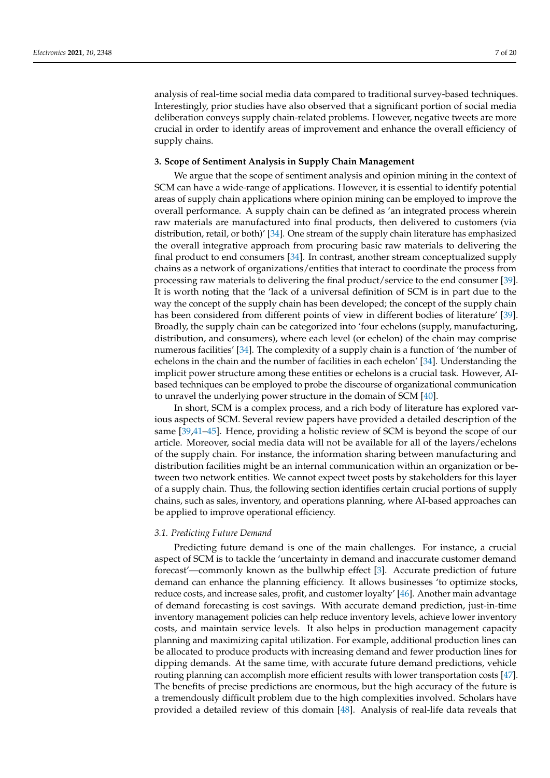analysis of real-time social media data compared to traditional survey-based techniques. Interestingly, prior studies have also observed that a significant portion of social media deliberation conveys supply chain-related problems. However, negative tweets are more crucial in order to identify areas of improvement and enhance the overall efficiency of supply chains.

# **3. Scope of Sentiment Analysis in Supply Chain Management**

We argue that the scope of sentiment analysis and opinion mining in the context of SCM can have a wide-range of applications. However, it is essential to identify potential areas of supply chain applications where opinion mining can be employed to improve the overall performance. A supply chain can be defined as 'an integrated process wherein raw materials are manufactured into final products, then delivered to customers (via distribution, retail, or both)' [\[34\]](#page-17-7). One stream of the supply chain literature has emphasized the overall integrative approach from procuring basic raw materials to delivering the final product to end consumers [\[34\]](#page-17-7). In contrast, another stream conceptualized supply chains as a network of organizations/entities that interact to coordinate the process from processing raw materials to delivering the final product/service to the end consumer [\[39\]](#page-17-12). It is worth noting that the 'lack of a universal definition of SCM is in part due to the way the concept of the supply chain has been developed; the concept of the supply chain has been considered from different points of view in different bodies of literature' [\[39\]](#page-17-12). Broadly, the supply chain can be categorized into 'four echelons (supply, manufacturing, distribution, and consumers), where each level (or echelon) of the chain may comprise numerous facilities' [\[34\]](#page-17-7). The complexity of a supply chain is a function of 'the number of echelons in the chain and the number of facilities in each echelon' [\[34\]](#page-17-7). Understanding the implicit power structure among these entities or echelons is a crucial task. However, AIbased techniques can be employed to probe the discourse of organizational communication to unravel the underlying power structure in the domain of SCM [\[40\]](#page-17-13).

In short, SCM is a complex process, and a rich body of literature has explored various aspects of SCM. Several review papers have provided a detailed description of the same [\[39,](#page-17-12)[41](#page-17-14)[–45\]](#page-17-15). Hence, providing a holistic review of SCM is beyond the scope of our article. Moreover, social media data will not be available for all of the layers/echelons of the supply chain. For instance, the information sharing between manufacturing and distribution facilities might be an internal communication within an organization or between two network entities. We cannot expect tweet posts by stakeholders for this layer of a supply chain. Thus, the following section identifies certain crucial portions of supply chains, such as sales, inventory, and operations planning, where AI-based approaches can be applied to improve operational efficiency.

## *3.1. Predicting Future Demand*

Predicting future demand is one of the main challenges. For instance, a crucial aspect of SCM is to tackle the 'uncertainty in demand and inaccurate customer demand forecast'—commonly known as the bullwhip effect [\[3\]](#page-16-2). Accurate prediction of future demand can enhance the planning efficiency. It allows businesses 'to optimize stocks, reduce costs, and increase sales, profit, and customer loyalty' [\[46\]](#page-17-16). Another main advantage of demand forecasting is cost savings. With accurate demand prediction, just-in-time inventory management policies can help reduce inventory levels, achieve lower inventory costs, and maintain service levels. It also helps in production management capacity planning and maximizing capital utilization. For example, additional production lines can be allocated to produce products with increasing demand and fewer production lines for dipping demands. At the same time, with accurate future demand predictions, vehicle routing planning can accomplish more efficient results with lower transportation costs [\[47\]](#page-17-17). The benefits of precise predictions are enormous, but the high accuracy of the future is a tremendously difficult problem due to the high complexities involved. Scholars have provided a detailed review of this domain [\[48\]](#page-17-18). Analysis of real-life data reveals that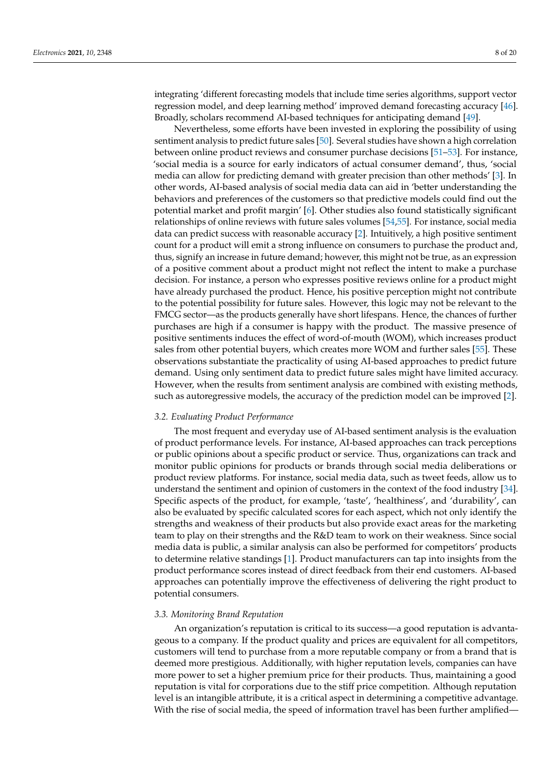integrating 'different forecasting models that include time series algorithms, support vector regression model, and deep learning method' improved demand forecasting accuracy [\[46\]](#page-17-16). Broadly, scholars recommend AI-based techniques for anticipating demand [\[49\]](#page-17-19).

Nevertheless, some efforts have been invested in exploring the possibility of using sentiment analysis to predict future sales [\[50\]](#page-17-20). Several studies have shown a high correlation between online product reviews and consumer purchase decisions [\[51–](#page-17-21)[53\]](#page-17-22). For instance, 'social media is a source for early indicators of actual consumer demand', thus, 'social media can allow for predicting demand with greater precision than other methods' [\[3\]](#page-16-2). In other words, AI-based analysis of social media data can aid in 'better understanding the behaviors and preferences of the customers so that predictive models could find out the potential market and profit margin' [\[6\]](#page-16-5). Other studies also found statistically significant relationships of online reviews with future sales volumes [\[54,](#page-18-0)[55\]](#page-18-1). For instance, social media data can predict success with reasonable accuracy [\[2\]](#page-16-1). Intuitively, a high positive sentiment count for a product will emit a strong influence on consumers to purchase the product and, thus, signify an increase in future demand; however, this might not be true, as an expression of a positive comment about a product might not reflect the intent to make a purchase decision. For instance, a person who expresses positive reviews online for a product might have already purchased the product. Hence, his positive perception might not contribute to the potential possibility for future sales. However, this logic may not be relevant to the FMCG sector—as the products generally have short lifespans. Hence, the chances of further purchases are high if a consumer is happy with the product. The massive presence of positive sentiments induces the effect of word-of-mouth (WOM), which increases product sales from other potential buyers, which creates more WOM and further sales [\[55\]](#page-18-1). These observations substantiate the practicality of using AI-based approaches to predict future demand. Using only sentiment data to predict future sales might have limited accuracy. However, when the results from sentiment analysis are combined with existing methods, such as autoregressive models, the accuracy of the prediction model can be improved [\[2\]](#page-16-1).

## *3.2. Evaluating Product Performance*

The most frequent and everyday use of AI-based sentiment analysis is the evaluation of product performance levels. For instance, AI-based approaches can track perceptions or public opinions about a specific product or service. Thus, organizations can track and monitor public opinions for products or brands through social media deliberations or product review platforms. For instance, social media data, such as tweet feeds, allow us to understand the sentiment and opinion of customers in the context of the food industry [\[34\]](#page-17-7). Specific aspects of the product, for example, 'taste', 'healthiness', and 'durability', can also be evaluated by specific calculated scores for each aspect, which not only identify the strengths and weakness of their products but also provide exact areas for the marketing team to play on their strengths and the R&D team to work on their weakness. Since social media data is public, a similar analysis can also be performed for competitors' products to determine relative standings [\[1\]](#page-16-0). Product manufacturers can tap into insights from the product performance scores instead of direct feedback from their end customers. AI-based approaches can potentially improve the effectiveness of delivering the right product to potential consumers.

## *3.3. Monitoring Brand Reputation*

An organization's reputation is critical to its success—a good reputation is advantageous to a company. If the product quality and prices are equivalent for all competitors, customers will tend to purchase from a more reputable company or from a brand that is deemed more prestigious. Additionally, with higher reputation levels, companies can have more power to set a higher premium price for their products. Thus, maintaining a good reputation is vital for corporations due to the stiff price competition. Although reputation level is an intangible attribute, it is a critical aspect in determining a competitive advantage. With the rise of social media, the speed of information travel has been further amplified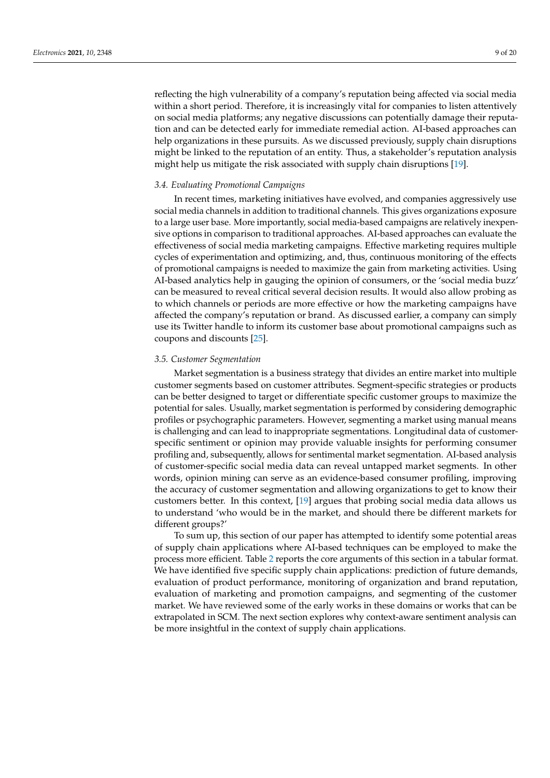reflecting the high vulnerability of a company's reputation being affected via social media within a short period. Therefore, it is increasingly vital for companies to listen attentively on social media platforms; any negative discussions can potentially damage their reputation and can be detected early for immediate remedial action. AI-based approaches can help organizations in these pursuits. As we discussed previously, supply chain disruptions might be linked to the reputation of an entity. Thus, a stakeholder's reputation analysis might help us mitigate the risk associated with supply chain disruptions [\[19\]](#page-16-17).

#### *3.4. Evaluating Promotional Campaigns*

In recent times, marketing initiatives have evolved, and companies aggressively use social media channels in addition to traditional channels. This gives organizations exposure to a large user base. More importantly, social media-based campaigns are relatively inexpensive options in comparison to traditional approaches. AI-based approaches can evaluate the effectiveness of social media marketing campaigns. Effective marketing requires multiple cycles of experimentation and optimizing, and, thus, continuous monitoring of the effects of promotional campaigns is needed to maximize the gain from marketing activities. Using AI-based analytics help in gauging the opinion of consumers, or the 'social media buzz' can be measured to reveal critical several decision results. It would also allow probing as to which channels or periods are more effective or how the marketing campaigns have affected the company's reputation or brand. As discussed earlier, a company can simply use its Twitter handle to inform its customer base about promotional campaigns such as coupons and discounts [\[25\]](#page-16-24).

## *3.5. Customer Segmentation*

Market segmentation is a business strategy that divides an entire market into multiple customer segments based on customer attributes. Segment-specific strategies or products can be better designed to target or differentiate specific customer groups to maximize the potential for sales. Usually, market segmentation is performed by considering demographic profiles or psychographic parameters. However, segmenting a market using manual means is challenging and can lead to inappropriate segmentations. Longitudinal data of customerspecific sentiment or opinion may provide valuable insights for performing consumer profiling and, subsequently, allows for sentimental market segmentation. AI-based analysis of customer-specific social media data can reveal untapped market segments. In other words, opinion mining can serve as an evidence-based consumer profiling, improving the accuracy of customer segmentation and allowing organizations to get to know their customers better. In this context, [\[19\]](#page-16-17) argues that probing social media data allows us to understand 'who would be in the market, and should there be different markets for different groups?'

To sum up, this section of our paper has attempted to identify some potential areas of supply chain applications where AI-based techniques can be employed to make the process more efficient. Table [2](#page-9-0) reports the core arguments of this section in a tabular format. We have identified five specific supply chain applications: prediction of future demands, evaluation of product performance, monitoring of organization and brand reputation, evaluation of marketing and promotion campaigns, and segmenting of the customer market. We have reviewed some of the early works in these domains or works that can be extrapolated in SCM. The next section explores why context-aware sentiment analysis can be more insightful in the context of supply chain applications.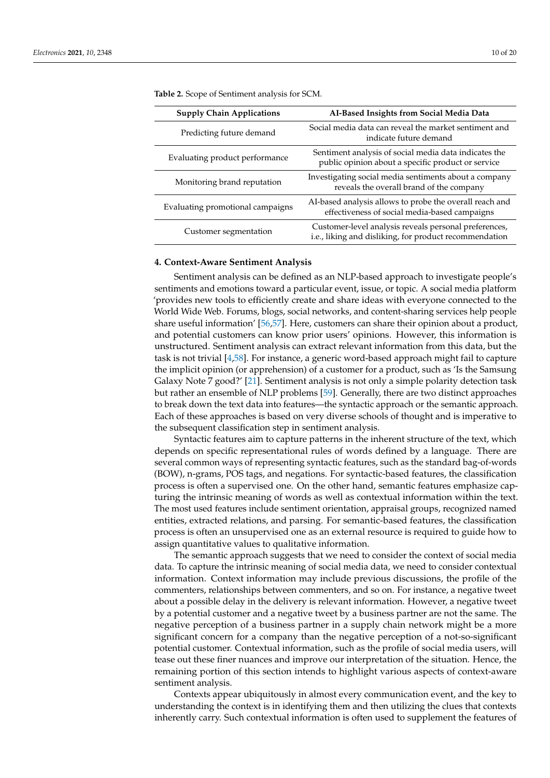| <b>Supply Chain Applications</b> | AI-Based Insights from Social Media Data                                                                        |  |  |
|----------------------------------|-----------------------------------------------------------------------------------------------------------------|--|--|
| Predicting future demand         | Social media data can reveal the market sentiment and<br>indicate future demand                                 |  |  |
| Evaluating product performance   | Sentiment analysis of social media data indicates the<br>public opinion about a specific product or service     |  |  |
| Monitoring brand reputation      | Investigating social media sentiments about a company<br>reveals the overall brand of the company               |  |  |
| Evaluating promotional campaigns | AI-based analysis allows to probe the overall reach and<br>effectiveness of social media-based campaigns        |  |  |
| Customer segmentation            | Customer-level analysis reveals personal preferences,<br>i.e., liking and disliking, for product recommendation |  |  |

<span id="page-9-0"></span>**Table 2.** Scope of Sentiment analysis for SCM.

## **4. Context-Aware Sentiment Analysis**

Sentiment analysis can be defined as an NLP-based approach to investigate people's sentiments and emotions toward a particular event, issue, or topic. A social media platform 'provides new tools to efficiently create and share ideas with everyone connected to the World Wide Web. Forums, blogs, social networks, and content-sharing services help people share useful information' [\[56](#page-18-2)[,57\]](#page-18-3). Here, customers can share their opinion about a product, and potential customers can know prior users' opinions. However, this information is unstructured. Sentiment analysis can extract relevant information from this data, but the task is not trivial [\[4,](#page-16-3)[58\]](#page-18-4). For instance, a generic word-based approach might fail to capture the implicit opinion (or apprehension) of a customer for a product, such as 'Is the Samsung Galaxy Note 7 good?' [\[21\]](#page-16-19). Sentiment analysis is not only a simple polarity detection task but rather an ensemble of NLP problems [\[59\]](#page-18-5). Generally, there are two distinct approaches to break down the text data into features—the syntactic approach or the semantic approach. Each of these approaches is based on very diverse schools of thought and is imperative to the subsequent classification step in sentiment analysis.

Syntactic features aim to capture patterns in the inherent structure of the text, which depends on specific representational rules of words defined by a language. There are several common ways of representing syntactic features, such as the standard bag-of-words (BOW), n-grams, POS tags, and negations. For syntactic-based features, the classification process is often a supervised one. On the other hand, semantic features emphasize capturing the intrinsic meaning of words as well as contextual information within the text. The most used features include sentiment orientation, appraisal groups, recognized named entities, extracted relations, and parsing. For semantic-based features, the classification process is often an unsupervised one as an external resource is required to guide how to assign quantitative values to qualitative information.

The semantic approach suggests that we need to consider the context of social media data. To capture the intrinsic meaning of social media data, we need to consider contextual information. Context information may include previous discussions, the profile of the commenters, relationships between commenters, and so on. For instance, a negative tweet about a possible delay in the delivery is relevant information. However, a negative tweet by a potential customer and a negative tweet by a business partner are not the same. The negative perception of a business partner in a supply chain network might be a more significant concern for a company than the negative perception of a not-so-significant potential customer. Contextual information, such as the profile of social media users, will tease out these finer nuances and improve our interpretation of the situation. Hence, the remaining portion of this section intends to highlight various aspects of context-aware sentiment analysis.

Contexts appear ubiquitously in almost every communication event, and the key to understanding the context is in identifying them and then utilizing the clues that contexts inherently carry. Such contextual information is often used to supplement the features of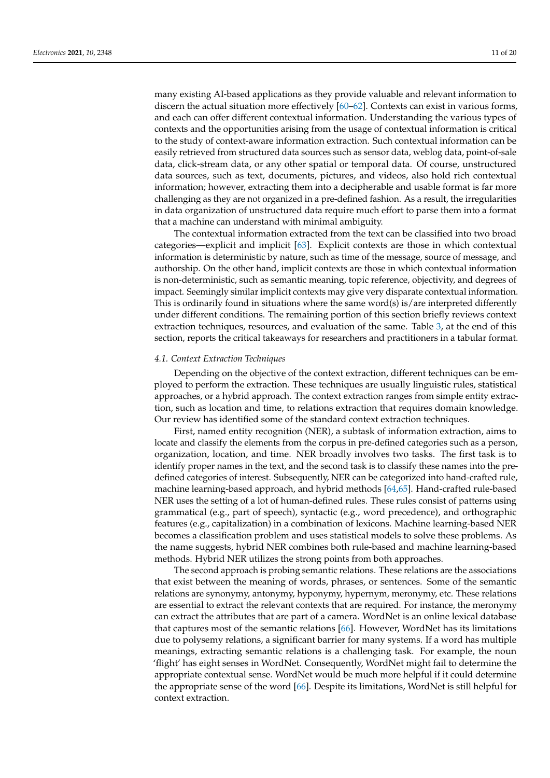many existing AI-based applications as they provide valuable and relevant information to discern the actual situation more effectively [\[60–](#page-18-6)[62\]](#page-18-7). Contexts can exist in various forms, and each can offer different contextual information. Understanding the various types of contexts and the opportunities arising from the usage of contextual information is critical to the study of context-aware information extraction. Such contextual information can be easily retrieved from structured data sources such as sensor data, weblog data, point-of-sale data, click-stream data, or any other spatial or temporal data. Of course, unstructured data sources, such as text, documents, pictures, and videos, also hold rich contextual information; however, extracting them into a decipherable and usable format is far more challenging as they are not organized in a pre-defined fashion. As a result, the irregularities in data organization of unstructured data require much effort to parse them into a format that a machine can understand with minimal ambiguity.

The contextual information extracted from the text can be classified into two broad categories—explicit and implicit [\[63\]](#page-18-8). Explicit contexts are those in which contextual information is deterministic by nature, such as time of the message, source of message, and authorship. On the other hand, implicit contexts are those in which contextual information is non-deterministic, such as semantic meaning, topic reference, objectivity, and degrees of impact. Seemingly similar implicit contexts may give very disparate contextual information. This is ordinarily found in situations where the same word(s) is/are interpreted differently under different conditions. The remaining portion of this section briefly reviews context extraction techniques, resources, and evaluation of the same. Table [3,](#page-12-0) at the end of this section, reports the critical takeaways for researchers and practitioners in a tabular format.

# *4.1. Context Extraction Techniques*

Depending on the objective of the context extraction, different techniques can be employed to perform the extraction. These techniques are usually linguistic rules, statistical approaches, or a hybrid approach. The context extraction ranges from simple entity extraction, such as location and time, to relations extraction that requires domain knowledge. Our review has identified some of the standard context extraction techniques.

First, named entity recognition (NER), a subtask of information extraction, aims to locate and classify the elements from the corpus in pre-defined categories such as a person, organization, location, and time. NER broadly involves two tasks. The first task is to identify proper names in the text, and the second task is to classify these names into the predefined categories of interest. Subsequently, NER can be categorized into hand-crafted rule, machine learning-based approach, and hybrid methods [\[64](#page-18-9)[,65\]](#page-18-10). Hand-crafted rule-based NER uses the setting of a lot of human-defined rules. These rules consist of patterns using grammatical (e.g., part of speech), syntactic (e.g., word precedence), and orthographic features (e.g., capitalization) in a combination of lexicons. Machine learning-based NER becomes a classification problem and uses statistical models to solve these problems. As the name suggests, hybrid NER combines both rule-based and machine learning-based methods. Hybrid NER utilizes the strong points from both approaches.

The second approach is probing semantic relations. These relations are the associations that exist between the meaning of words, phrases, or sentences. Some of the semantic relations are synonymy, antonymy, hyponymy, hypernym, meronymy, etc. These relations are essential to extract the relevant contexts that are required. For instance, the meronymy can extract the attributes that are part of a camera. WordNet is an online lexical database that captures most of the semantic relations [\[66\]](#page-18-11). However, WordNet has its limitations due to polysemy relations, a significant barrier for many systems. If a word has multiple meanings, extracting semantic relations is a challenging task. For example, the noun 'flight' has eight senses in WordNet. Consequently, WordNet might fail to determine the appropriate contextual sense. WordNet would be much more helpful if it could determine the appropriate sense of the word [\[66\]](#page-18-11). Despite its limitations, WordNet is still helpful for context extraction.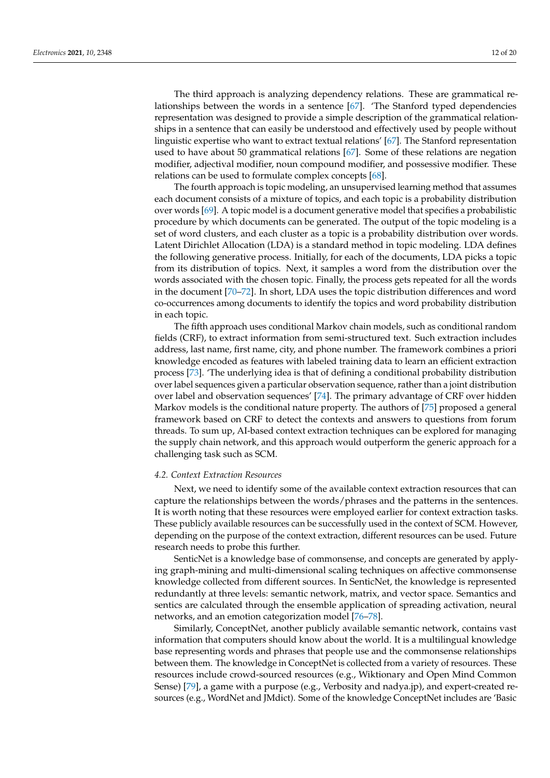The third approach is analyzing dependency relations. These are grammatical relationships between the words in a sentence [\[67\]](#page-18-12). 'The Stanford typed dependencies representation was designed to provide a simple description of the grammatical relationships in a sentence that can easily be understood and effectively used by people without linguistic expertise who want to extract textual relations' [\[67\]](#page-18-12). The Stanford representation used to have about 50 grammatical relations [\[67\]](#page-18-12). Some of these relations are negation modifier, adjectival modifier, noun compound modifier, and possessive modifier. These relations can be used to formulate complex concepts [\[68\]](#page-18-13).

The fourth approach is topic modeling, an unsupervised learning method that assumes each document consists of a mixture of topics, and each topic is a probability distribution over words [\[69\]](#page-18-14). A topic model is a document generative model that specifies a probabilistic procedure by which documents can be generated. The output of the topic modeling is a set of word clusters, and each cluster as a topic is a probability distribution over words. Latent Dirichlet Allocation (LDA) is a standard method in topic modeling. LDA defines the following generative process. Initially, for each of the documents, LDA picks a topic from its distribution of topics. Next, it samples a word from the distribution over the words associated with the chosen topic. Finally, the process gets repeated for all the words in the document [\[70–](#page-18-15)[72\]](#page-18-16). In short, LDA uses the topic distribution differences and word co-occurrences among documents to identify the topics and word probability distribution in each topic.

The fifth approach uses conditional Markov chain models, such as conditional random fields (CRF), to extract information from semi-structured text. Such extraction includes address, last name, first name, city, and phone number. The framework combines a priori knowledge encoded as features with labeled training data to learn an efficient extraction process [\[73\]](#page-18-17). 'The underlying idea is that of defining a conditional probability distribution over label sequences given a particular observation sequence, rather than a joint distribution over label and observation sequences' [\[74\]](#page-18-18). The primary advantage of CRF over hidden Markov models is the conditional nature property. The authors of [\[75\]](#page-18-19) proposed a general framework based on CRF to detect the contexts and answers to questions from forum threads. To sum up, AI-based context extraction techniques can be explored for managing the supply chain network, and this approach would outperform the generic approach for a challenging task such as SCM.

# *4.2. Context Extraction Resources*

Next, we need to identify some of the available context extraction resources that can capture the relationships between the words/phrases and the patterns in the sentences. It is worth noting that these resources were employed earlier for context extraction tasks. These publicly available resources can be successfully used in the context of SCM. However, depending on the purpose of the context extraction, different resources can be used. Future research needs to probe this further.

SenticNet is a knowledge base of commonsense, and concepts are generated by applying graph-mining and multi-dimensional scaling techniques on affective commonsense knowledge collected from different sources. In SenticNet, the knowledge is represented redundantly at three levels: semantic network, matrix, and vector space. Semantics and sentics are calculated through the ensemble application of spreading activation, neural networks, and an emotion categorization model [\[76–](#page-18-20)[78\]](#page-18-21).

Similarly, ConceptNet, another publicly available semantic network, contains vast information that computers should know about the world. It is a multilingual knowledge base representing words and phrases that people use and the commonsense relationships between them. The knowledge in ConceptNet is collected from a variety of resources. These resources include crowd-sourced resources (e.g., Wiktionary and Open Mind Common Sense) [\[79\]](#page-18-22), a game with a purpose (e.g., Verbosity and nadya.jp), and expert-created resources (e.g., WordNet and JMdict). Some of the knowledge ConceptNet includes are 'Basic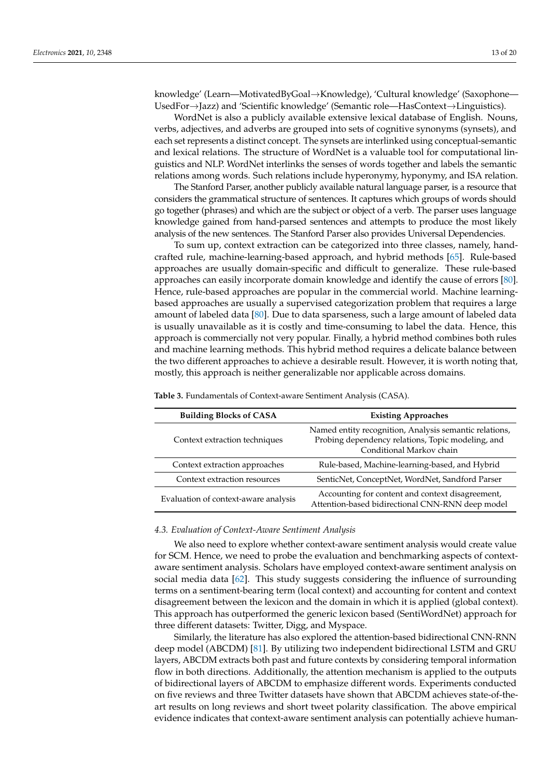knowledge' (Learn—MotivatedByGoal→Knowledge), 'Cultural knowledge' (Saxophone— UsedFor→Jazz) and 'Scientific knowledge' (Semantic role—HasContext→Linguistics).

WordNet is also a publicly available extensive lexical database of English. Nouns, verbs, adjectives, and adverbs are grouped into sets of cognitive synonyms (synsets), and each set represents a distinct concept. The synsets are interlinked using conceptual-semantic and lexical relations. The structure of WordNet is a valuable tool for computational linguistics and NLP. WordNet interlinks the senses of words together and labels the semantic relations among words. Such relations include hyperonymy, hyponymy, and ISA relation.

The Stanford Parser, another publicly available natural language parser, is a resource that considers the grammatical structure of sentences. It captures which groups of words should go together (phrases) and which are the subject or object of a verb. The parser uses language knowledge gained from hand-parsed sentences and attempts to produce the most likely analysis of the new sentences. The Stanford Parser also provides Universal Dependencies.

To sum up, context extraction can be categorized into three classes, namely, handcrafted rule, machine-learning-based approach, and hybrid methods [\[65\]](#page-18-10). Rule-based approaches are usually domain-specific and difficult to generalize. These rule-based approaches can easily incorporate domain knowledge and identify the cause of errors [\[80\]](#page-18-23). Hence, rule-based approaches are popular in the commercial world. Machine learningbased approaches are usually a supervised categorization problem that requires a large amount of labeled data [\[80\]](#page-18-23). Due to data sparseness, such a large amount of labeled data is usually unavailable as it is costly and time-consuming to label the data. Hence, this approach is commercially not very popular. Finally, a hybrid method combines both rules and machine learning methods. This hybrid method requires a delicate balance between the two different approaches to achieve a desirable result. However, it is worth noting that, mostly, this approach is neither generalizable nor applicable across domains.

| <b>Building Blocks of CASA</b>       | <b>Existing Approaches</b>                                                                                                              |  |
|--------------------------------------|-----------------------------------------------------------------------------------------------------------------------------------------|--|
| Context extraction techniques        | Named entity recognition, Analysis semantic relations,<br>Probing dependency relations, Topic modeling, and<br>Conditional Markov chain |  |
| Context extraction approaches        | Rule-based, Machine-learning-based, and Hybrid                                                                                          |  |
| Context extraction resources         | SenticNet, ConceptNet, WordNet, Sandford Parser                                                                                         |  |
| Evaluation of context-aware analysis | Accounting for content and context disagreement,<br>Attention-based bidirectional CNN-RNN deep model                                    |  |

<span id="page-12-0"></span>**Table 3.** Fundamentals of Context-aware Sentiment Analysis (CASA).

#### *4.3. Evaluation of Context-Aware Sentiment Analysis*

We also need to explore whether context-aware sentiment analysis would create value for SCM. Hence, we need to probe the evaluation and benchmarking aspects of contextaware sentiment analysis. Scholars have employed context-aware sentiment analysis on social media data [\[62\]](#page-18-7). This study suggests considering the influence of surrounding terms on a sentiment-bearing term (local context) and accounting for content and context disagreement between the lexicon and the domain in which it is applied (global context). This approach has outperformed the generic lexicon based (SentiWordNet) approach for three different datasets: Twitter, Digg, and Myspace.

Similarly, the literature has also explored the attention-based bidirectional CNN-RNN deep model (ABCDM) [\[81\]](#page-19-0). By utilizing two independent bidirectional LSTM and GRU layers, ABCDM extracts both past and future contexts by considering temporal information flow in both directions. Additionally, the attention mechanism is applied to the outputs of bidirectional layers of ABCDM to emphasize different words. Experiments conducted on five reviews and three Twitter datasets have shown that ABCDM achieves state-of-theart results on long reviews and short tweet polarity classification. The above empirical evidence indicates that context-aware sentiment analysis can potentially achieve human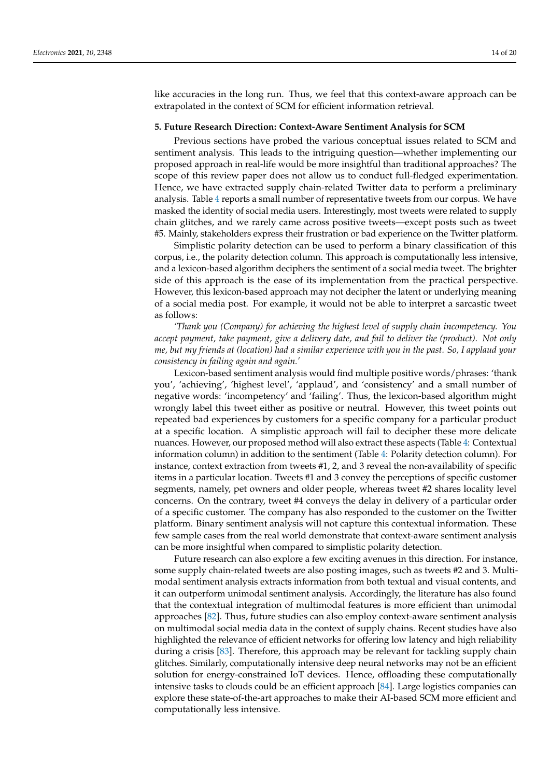like accuracies in the long run. Thus, we feel that this context-aware approach can be extrapolated in the context of SCM for efficient information retrieval.

## <span id="page-13-0"></span>**5. Future Research Direction: Context-Aware Sentiment Analysis for SCM**

Previous sections have probed the various conceptual issues related to SCM and sentiment analysis. This leads to the intriguing question—whether implementing our proposed approach in real-life would be more insightful than traditional approaches? The scope of this review paper does not allow us to conduct full-fledged experimentation. Hence, we have extracted supply chain-related Twitter data to perform a preliminary analysis. Table [4](#page-14-0) reports a small number of representative tweets from our corpus. We have masked the identity of social media users. Interestingly, most tweets were related to supply chain glitches, and we rarely came across positive tweets—except posts such as tweet #5. Mainly, stakeholders express their frustration or bad experience on the Twitter platform.

Simplistic polarity detection can be used to perform a binary classification of this corpus, i.e., the polarity detection column. This approach is computationally less intensive, and a lexicon-based algorithm deciphers the sentiment of a social media tweet. The brighter side of this approach is the ease of its implementation from the practical perspective. However, this lexicon-based approach may not decipher the latent or underlying meaning of a social media post. For example, it would not be able to interpret a sarcastic tweet as follows:

*'Thank you (Company) for achieving the highest level of supply chain incompetency. You accept payment, take payment, give a delivery date, and fail to deliver the (product). Not only me, but my friends at (location) had a similar experience with you in the past. So, I applaud your consistency in failing again and again.'*

Lexicon-based sentiment analysis would find multiple positive words/phrases: 'thank you', 'achieving', 'highest level', 'applaud', and 'consistency' and a small number of negative words: 'incompetency' and 'failing'. Thus, the lexicon-based algorithm might wrongly label this tweet either as positive or neutral. However, this tweet points out repeated bad experiences by customers for a specific company for a particular product at a specific location. A simplistic approach will fail to decipher these more delicate nuances. However, our proposed method will also extract these aspects (Table [4:](#page-14-0) Contextual information column) in addition to the sentiment (Table [4:](#page-14-0) Polarity detection column). For instance, context extraction from tweets #1, 2, and 3 reveal the non-availability of specific items in a particular location. Tweets #1 and 3 convey the perceptions of specific customer segments, namely, pet owners and older people, whereas tweet #2 shares locality level concerns. On the contrary, tweet #4 conveys the delay in delivery of a particular order of a specific customer. The company has also responded to the customer on the Twitter platform. Binary sentiment analysis will not capture this contextual information. These few sample cases from the real world demonstrate that context-aware sentiment analysis can be more insightful when compared to simplistic polarity detection.

Future research can also explore a few exciting avenues in this direction. For instance, some supply chain-related tweets are also posting images, such as tweets #2 and 3. Multimodal sentiment analysis extracts information from both textual and visual contents, and it can outperform unimodal sentiment analysis. Accordingly, the literature has also found that the contextual integration of multimodal features is more efficient than unimodal approaches [\[82\]](#page-19-1). Thus, future studies can also employ context-aware sentiment analysis on multimodal social media data in the context of supply chains. Recent studies have also highlighted the relevance of efficient networks for offering low latency and high reliability during a crisis [\[83\]](#page-19-2). Therefore, this approach may be relevant for tackling supply chain glitches. Similarly, computationally intensive deep neural networks may not be an efficient solution for energy-constrained IoT devices. Hence, offloading these computationally intensive tasks to clouds could be an efficient approach [\[84\]](#page-19-3). Large logistics companies can explore these state-of-the-art approaches to make their AI-based SCM more efficient and computationally less intensive.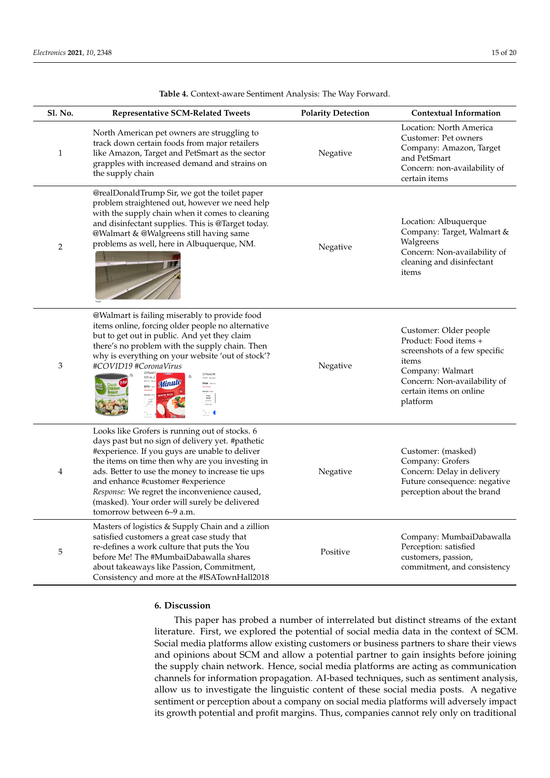<span id="page-14-0"></span>

| Sl. No. | <b>Representative SCM-Related Tweets</b>                                                                                                                                                                                                                                                                                                                                                                                        | <b>Polarity Detection</b> | <b>Contextual Information</b>                                                                                                                                                        |
|---------|---------------------------------------------------------------------------------------------------------------------------------------------------------------------------------------------------------------------------------------------------------------------------------------------------------------------------------------------------------------------------------------------------------------------------------|---------------------------|--------------------------------------------------------------------------------------------------------------------------------------------------------------------------------------|
| 1       | North American pet owners are struggling to<br>track down certain foods from major retailers<br>like Amazon, Target and PetSmart as the sector<br>grapples with increased demand and strains on<br>the supply chain                                                                                                                                                                                                             | Negative                  | Location: North America<br>Customer: Pet owners<br>Company: Amazon, Target<br>and PetSmart<br>Concern: non-availability of<br>certain items                                          |
| 2       | @realDonaldTrump Sir, we got the toilet paper<br>problem straightened out, however we need help<br>with the supply chain when it comes to cleaning<br>and disinfectant supplies. This is @Target today.<br>@Walmart & @Walgreens still having same<br>problems as well, here in Albuquerque, NM.                                                                                                                                | Negative                  | Location: Albuquerque<br>Company: Target, Walmart &<br>Walgreens<br>Concern: Non-availability of<br>cleaning and disinfectant<br>items                                               |
| 3       | @Walmart is failing miserably to provide food<br>items online, forcing older people no alternative<br>but to get out in public. And yet they claim<br>there's no problem with the supply chain. Then<br>why is everything on your website 'out of stock'?<br>#COVID19 #CoronaVirus<br>(3 Pack) M<br>12.5 oz, 2<br>Minute<br>\$9.66 P.A<br>$$7.72 \t m$<br>Single<br>\$3.92<br>5.2.34 / th<br>$\tilde{ }$ $\sim$ 0               | Negative                  | Customer: Older people<br>Product: Food items +<br>screenshots of a few specific<br>items<br>Company: Walmart<br>Concern: Non-availability of<br>certain items on online<br>platform |
| 4       | Looks like Grofers is running out of stocks. 6<br>days past but no sign of delivery yet. #pathetic<br>#experience. If you guys are unable to deliver<br>the items on time then why are you investing in<br>ads. Better to use the money to increase tie ups<br>and enhance #customer #experience<br>Response: We regret the inconvenience caused,<br>(masked). Your order will surely be delivered<br>tomorrow between 6–9 a.m. | Negative                  | Customer: (masked)<br>Company: Grofers<br>Concern: Delay in delivery<br>Future consequence: negative<br>perception about the brand                                                   |
| 5       | Masters of logistics & Supply Chain and a zillion<br>satisfied customers a great case study that<br>re-defines a work culture that puts the You<br>before Me! The #MumbaiDabawalla shares<br>about takeaways like Passion, Commitment,<br>Consistency and more at the #ISATownHall2018                                                                                                                                          | Positive                  | Company: MumbaiDabawalla<br>Perception: satisfied<br>customers, passion,<br>commitment, and consistency                                                                              |

**Table 4.** Context-aware Sentiment Analysis: The Way Forward.

**Table 4.** Context-aware Sentiment Analysis: The Way Forward.

## **6. Discussion**

This paper has probed a number of interrelated but distinct streams of the extant literature. First, we explored the potential of social media data in the context of SCM. Social media platforms allow existing customers or business partners to share their views and opinions about SCM and allow a potential partner to gain insights before joining the supply chain network. Hence, social media platforms are acting as communication channels for information propagation. AI-based techniques, such as sentiment analysis, allow us to investigate the linguistic content of these social media posts. A negative sentiment or perception about a company on social media platforms will adversely impact its growth potential and profit margins. Thus, companies cannot rely only on traditional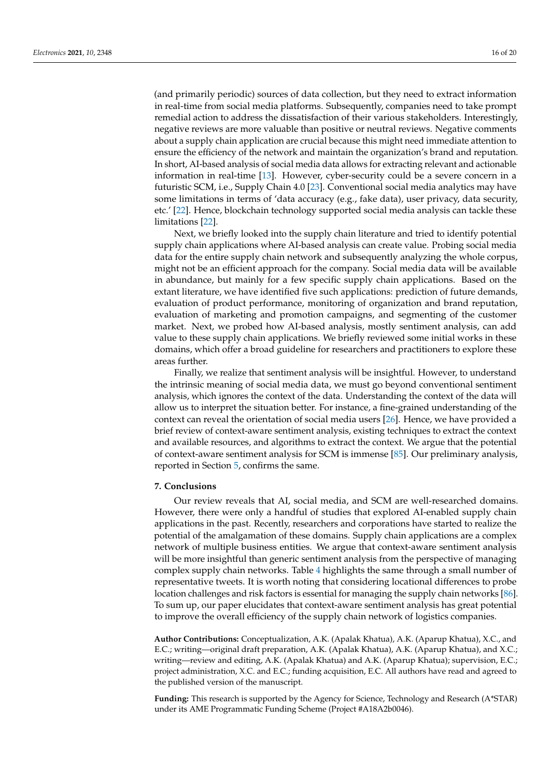(and primarily periodic) sources of data collection, but they need to extract information in real-time from social media platforms. Subsequently, companies need to take prompt remedial action to address the dissatisfaction of their various stakeholders. Interestingly, negative reviews are more valuable than positive or neutral reviews. Negative comments about a supply chain application are crucial because this might need immediate attention to ensure the efficiency of the network and maintain the organization's brand and reputation. In short, AI-based analysis of social media data allows for extracting relevant and actionable information in real-time [\[13\]](#page-16-11). However, cyber-security could be a severe concern in a futuristic SCM, i.e., Supply Chain 4.0 [\[23\]](#page-16-22). Conventional social media analytics may have some limitations in terms of 'data accuracy (e.g., fake data), user privacy, data security, etc.' [\[22\]](#page-16-20). Hence, blockchain technology supported social media analysis can tackle these limitations [\[22\]](#page-16-20).

Next, we briefly looked into the supply chain literature and tried to identify potential supply chain applications where AI-based analysis can create value. Probing social media data for the entire supply chain network and subsequently analyzing the whole corpus, might not be an efficient approach for the company. Social media data will be available in abundance, but mainly for a few specific supply chain applications. Based on the extant literature, we have identified five such applications: prediction of future demands, evaluation of product performance, monitoring of organization and brand reputation, evaluation of marketing and promotion campaigns, and segmenting of the customer market. Next, we probed how AI-based analysis, mostly sentiment analysis, can add value to these supply chain applications. We briefly reviewed some initial works in these domains, which offer a broad guideline for researchers and practitioners to explore these areas further.

Finally, we realize that sentiment analysis will be insightful. However, to understand the intrinsic meaning of social media data, we must go beyond conventional sentiment analysis, which ignores the context of the data. Understanding the context of the data will allow us to interpret the situation better. For instance, a fine-grained understanding of the context can reveal the orientation of social media users [\[26\]](#page-16-25). Hence, we have provided a brief review of context-aware sentiment analysis, existing techniques to extract the context and available resources, and algorithms to extract the context. We argue that the potential of context-aware sentiment analysis for SCM is immense [\[85\]](#page-19-4). Our preliminary analysis, reported in Section [5,](#page-13-0) confirms the same.

# **7. Conclusions**

Our review reveals that AI, social media, and SCM are well-researched domains. However, there were only a handful of studies that explored AI-enabled supply chain applications in the past. Recently, researchers and corporations have started to realize the potential of the amalgamation of these domains. Supply chain applications are a complex network of multiple business entities. We argue that context-aware sentiment analysis will be more insightful than generic sentiment analysis from the perspective of managing complex supply chain networks. Table [4](#page-14-0) highlights the same through a small number of representative tweets. It is worth noting that considering locational differences to probe location challenges and risk factors is essential for managing the supply chain networks [\[86\]](#page-19-5). To sum up, our paper elucidates that context-aware sentiment analysis has great potential to improve the overall efficiency of the supply chain network of logistics companies.

**Author Contributions:** Conceptualization, A.K. (Apalak Khatua), A.K. (Aparup Khatua), X.C., and E.C.; writing—original draft preparation, A.K. (Apalak Khatua), A.K. (Aparup Khatua), and X.C.; writing—review and editing, A.K. (Apalak Khatua) and A.K. (Aparup Khatua); supervision, E.C.; project administration, X.C. and E.C.; funding acquisition, E.C. All authors have read and agreed to the published version of the manuscript.

**Funding:** This research is supported by the Agency for Science, Technology and Research (A\*STAR) under its AME Programmatic Funding Scheme (Project #A18A2b0046).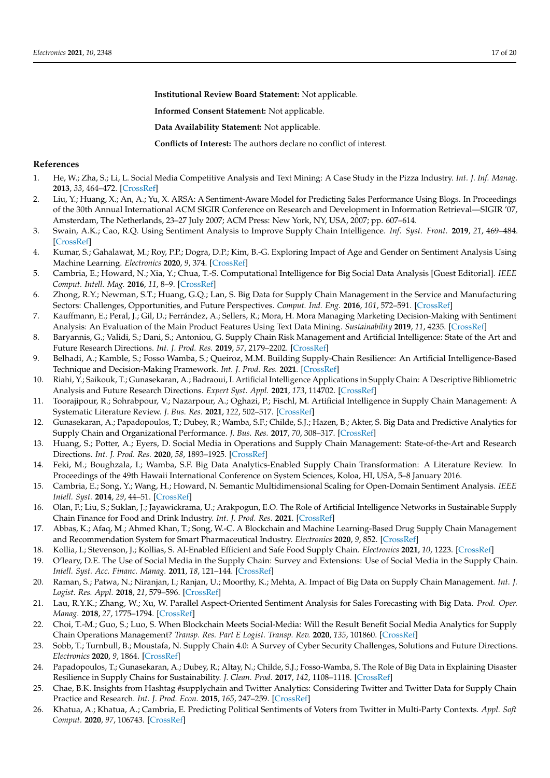**Institutional Review Board Statement:** Not applicable.

**Informed Consent Statement:** Not applicable.

**Data Availability Statement:** Not applicable.

**Conflicts of Interest:** The authors declare no conflict of interest.

# **References**

- <span id="page-16-0"></span>1. He, W.; Zha, S.; Li, L. Social Media Competitive Analysis and Text Mining: A Case Study in the Pizza Industry. *Int. J. Inf. Manag.* **2013**, *33*, 464–472. [\[CrossRef\]](http://doi.org/10.1016/j.ijinfomgt.2013.01.001)
- <span id="page-16-1"></span>2. Liu, Y.; Huang, X.; An, A.; Yu, X. ARSA: A Sentiment-Aware Model for Predicting Sales Performance Using Blogs. In Proceedings of the 30th Annual International ACM SIGIR Conference on Research and Development in Information Retrieval—SIGIR '07, Amsterdam, The Netherlands, 23–27 July 2007; ACM Press: New York, NY, USA, 2007; pp. 607–614.
- <span id="page-16-2"></span>3. Swain, A.K.; Cao, R.Q. Using Sentiment Analysis to Improve Supply Chain Intelligence. *Inf. Syst. Front.* **2019**, *21*, 469–484. [\[CrossRef\]](http://doi.org/10.1007/s10796-017-9762-2)
- <span id="page-16-3"></span>4. Kumar, S.; Gahalawat, M.; Roy, P.P.; Dogra, D.P.; Kim, B.-G. Exploring Impact of Age and Gender on Sentiment Analysis Using Machine Learning. *Electronics* **2020**, *9*, 374. [\[CrossRef\]](http://doi.org/10.3390/electronics9020374)
- <span id="page-16-4"></span>5. Cambria, E.; Howard, N.; Xia, Y.; Chua, T.-S. Computational Intelligence for Big Social Data Analysis [Guest Editorial]. *IEEE Comput. Intell. Mag.* **2016**, *11*, 8–9. [\[CrossRef\]](http://doi.org/10.1109/MCI.2016.2572481)
- <span id="page-16-5"></span>6. Zhong, R.Y.; Newman, S.T.; Huang, G.Q.; Lan, S. Big Data for Supply Chain Management in the Service and Manufacturing Sectors: Challenges, Opportunities, and Future Perspectives. *Comput. Ind. Eng.* **2016**, *101*, 572–591. [\[CrossRef\]](http://doi.org/10.1016/j.cie.2016.07.013)
- <span id="page-16-6"></span>7. Kauffmann, E.; Peral, J.; Gil, D.; Ferrández, A.; Sellers, R.; Mora, H. Mora Managing Marketing Decision-Making with Sentiment Analysis: An Evaluation of the Main Product Features Using Text Data Mining. *Sustainability* **2019**, *11*, 4235. [\[CrossRef\]](http://doi.org/10.3390/su11154235)
- <span id="page-16-7"></span>8. Baryannis, G.; Validi, S.; Dani, S.; Antoniou, G. Supply Chain Risk Management and Artificial Intelligence: State of the Art and Future Research Directions. *Int. J. Prod. Res.* **2019**, *57*, 2179–2202. [\[CrossRef\]](http://doi.org/10.1080/00207543.2018.1530476)
- <span id="page-16-14"></span>9. Belhadi, A.; Kamble, S.; Fosso Wamba, S.; Queiroz, M.M. Building Supply-Chain Resilience: An Artificial Intelligence-Based Technique and Decision-Making Framework. *Int. J. Prod. Res.* **2021**. [\[CrossRef\]](http://doi.org/10.1080/00207543.2021.1950935)
- <span id="page-16-13"></span>10. Riahi, Y.; Saikouk, T.; Gunasekaran, A.; Badraoui, I. Artificial Intelligence Applications in Supply Chain: A Descriptive Bibliometric Analysis and Future Research Directions. *Expert Syst. Appl.* **2021**, *173*, 114702. [\[CrossRef\]](http://doi.org/10.1016/j.eswa.2021.114702)
- <span id="page-16-8"></span>11. Toorajipour, R.; Sohrabpour, V.; Nazarpour, A.; Oghazi, P.; Fischl, M. Artificial Intelligence in Supply Chain Management: A Systematic Literature Review. *J. Bus. Res.* **2021**, *122*, 502–517. [\[CrossRef\]](http://doi.org/10.1016/j.jbusres.2020.09.009)
- <span id="page-16-9"></span>12. Gunasekaran, A.; Papadopoulos, T.; Dubey, R.; Wamba, S.F.; Childe, S.J.; Hazen, B.; Akter, S. Big Data and Predictive Analytics for Supply Chain and Organizational Performance. *J. Bus. Res.* **2017**, *70*, 308–317. [\[CrossRef\]](http://doi.org/10.1016/j.jbusres.2016.08.004)
- <span id="page-16-11"></span>13. Huang, S.; Potter, A.; Eyers, D. Social Media in Operations and Supply Chain Management: State-of-the-Art and Research Directions. *Int. J. Prod. Res.* **2020**, *58*, 1893–1925. [\[CrossRef\]](http://doi.org/10.1080/00207543.2019.1702228)
- <span id="page-16-10"></span>14. Feki, M.; Boughzala, I.; Wamba, S.F. Big Data Analytics-Enabled Supply Chain Transformation: A Literature Review. In Proceedings of the 49th Hawaii International Conference on System Sciences, Koloa, HI, USA, 5–8 January 2016.
- <span id="page-16-12"></span>15. Cambria, E.; Song, Y.; Wang, H.; Howard, N. Semantic Multidimensional Scaling for Open-Domain Sentiment Analysis. *IEEE Intell. Syst.* **2014**, *29*, 44–51. [\[CrossRef\]](http://doi.org/10.1109/MIS.2012.118)
- <span id="page-16-15"></span>16. Olan, F.; Liu, S.; Suklan, J.; Jayawickrama, U.; Arakpogun, E.O. The Role of Artificial Intelligence Networks in Sustainable Supply Chain Finance for Food and Drink Industry. *Int. J. Prod. Res.* **2021**. [\[CrossRef\]](http://doi.org/10.1080/00207543.2021.1915510)
- <span id="page-16-21"></span>17. Abbas, K.; Afaq, M.; Ahmed Khan, T.; Song, W.-C. A Blockchain and Machine Learning-Based Drug Supply Chain Management and Recommendation System for Smart Pharmaceutical Industry. *Electronics* **2020**, *9*, 852. [\[CrossRef\]](http://doi.org/10.3390/electronics9050852)
- <span id="page-16-16"></span>18. Kollia, I.; Stevenson, J.; Kollias, S. AI-Enabled Efficient and Safe Food Supply Chain. *Electronics* **2021**, *10*, 1223. [\[CrossRef\]](http://doi.org/10.3390/electronics10111223)
- <span id="page-16-17"></span>19. O'leary, D.E. The Use of Social Media in the Supply Chain: Survey and Extensions: Use of Social Media in the Supply Chain. *Intell. Syst. Acc. Financ. Manag.* **2011**, *18*, 121–144. [\[CrossRef\]](http://doi.org/10.1002/isaf.327)
- <span id="page-16-18"></span>20. Raman, S.; Patwa, N.; Niranjan, I.; Ranjan, U.; Moorthy, K.; Mehta, A. Impact of Big Data on Supply Chain Management. *Int. J. Logist. Res. Appl.* **2018**, *21*, 579–596. [\[CrossRef\]](http://doi.org/10.1080/13675567.2018.1459523)
- <span id="page-16-19"></span>21. Lau, R.Y.K.; Zhang, W.; Xu, W. Parallel Aspect-Oriented Sentiment Analysis for Sales Forecasting with Big Data. *Prod. Oper. Manag.* **2018**, *27*, 1775–1794. [\[CrossRef\]](http://doi.org/10.1111/poms.12737)
- <span id="page-16-20"></span>22. Choi, T.-M.; Guo, S.; Luo, S. When Blockchain Meets Social-Media: Will the Result Benefit Social Media Analytics for Supply Chain Operations Management? *Transp. Res. Part E Logist. Transp. Rev.* **2020**, *135*, 101860. [\[CrossRef\]](http://doi.org/10.1016/j.tre.2020.101860)
- <span id="page-16-22"></span>23. Sobb, T.; Turnbull, B.; Moustafa, N. Supply Chain 4.0: A Survey of Cyber Security Challenges, Solutions and Future Directions. *Electronics* **2020**, *9*, 1864. [\[CrossRef\]](http://doi.org/10.3390/electronics9111864)
- <span id="page-16-23"></span>24. Papadopoulos, T.; Gunasekaran, A.; Dubey, R.; Altay, N.; Childe, S.J.; Fosso-Wamba, S. The Role of Big Data in Explaining Disaster Resilience in Supply Chains for Sustainability. *J. Clean. Prod.* **2017**, *142*, 1108–1118. [\[CrossRef\]](http://doi.org/10.1016/j.jclepro.2016.03.059)
- <span id="page-16-24"></span>25. Chae, B.K. Insights from Hashtag #supplychain and Twitter Analytics: Considering Twitter and Twitter Data for Supply Chain Practice and Research. *Int. J. Prod. Econ.* **2015**, *165*, 247–259. [\[CrossRef\]](http://doi.org/10.1016/j.ijpe.2014.12.037)
- <span id="page-16-25"></span>26. Khatua, A.; Khatua, A.; Cambria, E. Predicting Political Sentiments of Voters from Twitter in Multi-Party Contexts. *Appl. Soft Comput.* **2020**, *97*, 106743. [\[CrossRef\]](http://doi.org/10.1016/j.asoc.2020.106743)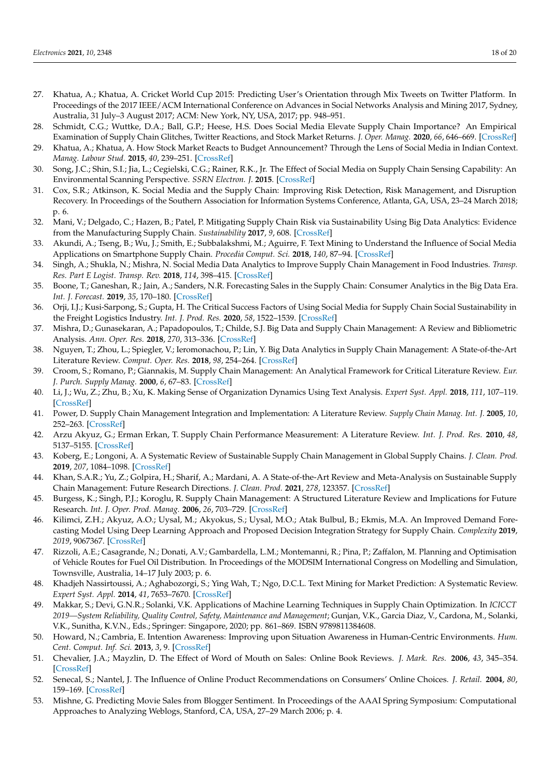- <span id="page-17-0"></span>27. Khatua, A.; Khatua, A. Cricket World Cup 2015: Predicting User's Orientation through Mix Tweets on Twitter Platform. In Proceedings of the 2017 IEEE/ACM International Conference on Advances in Social Networks Analysis and Mining 2017, Sydney, Australia, 31 July–3 August 2017; ACM: New York, NY, USA, 2017; pp. 948–951.
- <span id="page-17-1"></span>28. Schmidt, C.G.; Wuttke, D.A.; Ball, G.P.; Heese, H.S. Does Social Media Elevate Supply Chain Importance? An Empirical Examination of Supply Chain Glitches, Twitter Reactions, and Stock Market Returns. *J. Oper. Manag.* **2020**, *66*, 646–669. [\[CrossRef\]](http://doi.org/10.1002/joom.1087)
- <span id="page-17-2"></span>29. Khatua, A.; Khatua, A. How Stock Market Reacts to Budget Announcement? Through the Lens of Social Media in Indian Context. *Manag. Labour Stud.* **2015**, *40*, 239–251. [\[CrossRef\]](http://doi.org/10.1177/0258042X16634568)
- <span id="page-17-3"></span>30. Song, J.C.; Shin, S.I.; Jia, L.; Cegielski, C.G.; Rainer, R.K., Jr. The Effect of Social Media on Supply Chain Sensing Capability: An Environmental Scanning Perspective. *SSRN Electron. J.* **2015**. [\[CrossRef\]](http://doi.org/10.2139/ssrn.2863298)
- <span id="page-17-4"></span>31. Cox, S.R.; Atkinson, K. Social Media and the Supply Chain: Improving Risk Detection, Risk Management, and Disruption Recovery. In Proceedings of the Southern Association for Information Systems Conference, Atlanta, GA, USA, 23–24 March 2018; p. 6.
- <span id="page-17-5"></span>32. Mani, V.; Delgado, C.; Hazen, B.; Patel, P. Mitigating Supply Chain Risk via Sustainability Using Big Data Analytics: Evidence from the Manufacturing Supply Chain. *Sustainability* **2017**, *9*, 608. [\[CrossRef\]](http://doi.org/10.3390/su9040608)
- <span id="page-17-6"></span>33. Akundi, A.; Tseng, B.; Wu, J.; Smith, E.; Subbalakshmi, M.; Aguirre, F. Text Mining to Understand the Influence of Social Media Applications on Smartphone Supply Chain. *Procedia Comput. Sci.* **2018**, *140*, 87–94. [\[CrossRef\]](http://doi.org/10.1016/j.procs.2018.10.296)
- <span id="page-17-7"></span>34. Singh, A.; Shukla, N.; Mishra, N. Social Media Data Analytics to Improve Supply Chain Management in Food Industries. *Transp. Res. Part E Logist. Transp. Rev.* **2018**, *114*, 398–415. [\[CrossRef\]](http://doi.org/10.1016/j.tre.2017.05.008)
- <span id="page-17-8"></span>35. Boone, T.; Ganeshan, R.; Jain, A.; Sanders, N.R. Forecasting Sales in the Supply Chain: Consumer Analytics in the Big Data Era. *Int. J. Forecast.* **2019**, *35*, 170–180. [\[CrossRef\]](http://doi.org/10.1016/j.ijforecast.2018.09.003)
- <span id="page-17-9"></span>36. Orji, I.J.; Kusi-Sarpong, S.; Gupta, H. The Critical Success Factors of Using Social Media for Supply Chain Social Sustainability in the Freight Logistics Industry. *Int. J. Prod. Res.* **2020**, *58*, 1522–1539. [\[CrossRef\]](http://doi.org/10.1080/00207543.2019.1660829)
- <span id="page-17-10"></span>37. Mishra, D.; Gunasekaran, A.; Papadopoulos, T.; Childe, S.J. Big Data and Supply Chain Management: A Review and Bibliometric Analysis. *Ann. Oper. Res.* **2018**, *270*, 313–336. [\[CrossRef\]](http://doi.org/10.1007/s10479-016-2236-y)
- <span id="page-17-11"></span>38. Nguyen, T.; Zhou, L.; Spiegler, V.; Ieromonachou, P.; Lin, Y. Big Data Analytics in Supply Chain Management: A State-of-the-Art Literature Review. *Comput. Oper. Res.* **2018**, *98*, 254–264. [\[CrossRef\]](http://doi.org/10.1016/j.cor.2017.07.004)
- <span id="page-17-12"></span>39. Croom, S.; Romano, P.; Giannakis, M. Supply Chain Management: An Analytical Framework for Critical Literature Review. *Eur. J. Purch. Supply Manag.* **2000**, *6*, 67–83. [\[CrossRef\]](http://doi.org/10.1016/S0969-7012(99)00030-1)
- <span id="page-17-13"></span>40. Li, J.; Wu, Z.; Zhu, B.; Xu, K. Making Sense of Organization Dynamics Using Text Analysis. *Expert Syst. Appl.* **2018**, *111*, 107–119. [\[CrossRef\]](http://doi.org/10.1016/j.eswa.2017.11.009)
- <span id="page-17-14"></span>41. Power, D. Supply Chain Management Integration and Implementation: A Literature Review. *Supply Chain Manag. Int. J.* **2005**, *10*, 252–263. [\[CrossRef\]](http://doi.org/10.1108/13598540510612721)
- 42. Arzu Akyuz, G.; Erman Erkan, T. Supply Chain Performance Measurement: A Literature Review. *Int. J. Prod. Res.* **2010**, *48*, 5137–5155. [\[CrossRef\]](http://doi.org/10.1080/00207540903089536)
- 43. Koberg, E.; Longoni, A. A Systematic Review of Sustainable Supply Chain Management in Global Supply Chains. *J. Clean. Prod.* **2019**, *207*, 1084–1098. [\[CrossRef\]](http://doi.org/10.1016/j.jclepro.2018.10.033)
- 44. Khan, S.A.R.; Yu, Z.; Golpira, H.; Sharif, A.; Mardani, A. A State-of-the-Art Review and Meta-Analysis on Sustainable Supply Chain Management: Future Research Directions. *J. Clean. Prod.* **2021**, *278*, 123357. [\[CrossRef\]](http://doi.org/10.1016/j.jclepro.2020.123357)
- <span id="page-17-15"></span>45. Burgess, K.; Singh, P.J.; Koroglu, R. Supply Chain Management: A Structured Literature Review and Implications for Future Research. *Int. J. Oper. Prod. Manag.* **2006**, *26*, 703–729. [\[CrossRef\]](http://doi.org/10.1108/01443570610672202)
- <span id="page-17-16"></span>46. Kilimci, Z.H.; Akyuz, A.O.; Uysal, M.; Akyokus, S.; Uysal, M.O.; Atak Bulbul, B.; Ekmis, M.A. An Improved Demand Forecasting Model Using Deep Learning Approach and Proposed Decision Integration Strategy for Supply Chain. *Complexity* **2019**, *2019*, 9067367. [\[CrossRef\]](http://doi.org/10.1155/2019/9067367)
- <span id="page-17-17"></span>47. Rizzoli, A.E.; Casagrande, N.; Donati, A.V.; Gambardella, L.M.; Montemanni, R.; Pina, P.; Zaffalon, M. Planning and Optimisation of Vehicle Routes for Fuel Oil Distribution. In Proceedings of the MODSIM International Congress on Modelling and Simulation, Townsville, Australia, 14–17 July 2003; p. 6.
- <span id="page-17-18"></span>48. Khadjeh Nassirtoussi, A.; Aghabozorgi, S.; Ying Wah, T.; Ngo, D.C.L. Text Mining for Market Prediction: A Systematic Review. *Expert Syst. Appl.* **2014**, *41*, 7653–7670. [\[CrossRef\]](http://doi.org/10.1016/j.eswa.2014.06.009)
- <span id="page-17-19"></span>49. Makkar, S.; Devi, G.N.R.; Solanki, V.K. Applications of Machine Learning Techniques in Supply Chain Optimization. In *ICICCT 2019—System Reliability, Quality Control, Safety, Maintenance and Management*; Gunjan, V.K., Garcia Diaz, V., Cardona, M., Solanki, V.K., Sunitha, K.V.N., Eds.; Springer: Singapore, 2020; pp. 861–869. ISBN 9789811384608.
- <span id="page-17-20"></span>50. Howard, N.; Cambria, E. Intention Awareness: Improving upon Situation Awareness in Human-Centric Environments. *Hum. Cent. Comput. Inf. Sci.* **2013**, *3*, 9. [\[CrossRef\]](http://doi.org/10.1186/2192-1962-3-9)
- <span id="page-17-21"></span>51. Chevalier, J.A.; Mayzlin, D. The Effect of Word of Mouth on Sales: Online Book Reviews. *J. Mark. Res.* **2006**, *43*, 345–354. [\[CrossRef\]](http://doi.org/10.1509/jmkr.43.3.345)
- 52. Senecal, S.; Nantel, J. The Influence of Online Product Recommendations on Consumers' Online Choices. *J. Retail.* **2004**, *80*, 159–169. [\[CrossRef\]](http://doi.org/10.1016/j.jretai.2004.04.001)
- <span id="page-17-22"></span>53. Mishne, G. Predicting Movie Sales from Blogger Sentiment. In Proceedings of the AAAI Spring Symposium: Computational Approaches to Analyzing Weblogs, Stanford, CA, USA, 27–29 March 2006; p. 4.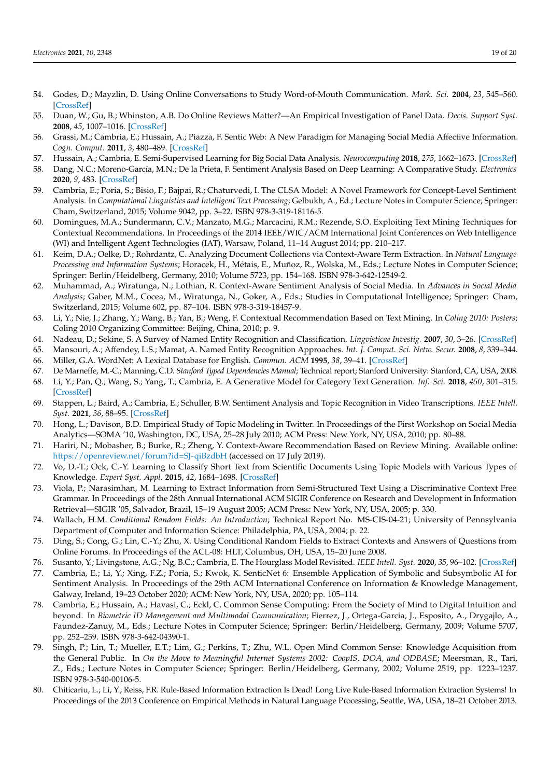- <span id="page-18-0"></span>54. Godes, D.; Mayzlin, D. Using Online Conversations to Study Word-of-Mouth Communication. *Mark. Sci.* **2004**, *23*, 545–560. [\[CrossRef\]](http://doi.org/10.1287/mksc.1040.0071)
- <span id="page-18-1"></span>55. Duan, W.; Gu, B.; Whinston, A.B. Do Online Reviews Matter?—An Empirical Investigation of Panel Data. *Decis. Support Syst.* **2008**, *45*, 1007–1016. [\[CrossRef\]](http://doi.org/10.1016/j.dss.2008.04.001)
- <span id="page-18-2"></span>56. Grassi, M.; Cambria, E.; Hussain, A.; Piazza, F. Sentic Web: A New Paradigm for Managing Social Media Affective Information. *Cogn. Comput.* **2011**, *3*, 480–489. [\[CrossRef\]](http://doi.org/10.1007/s12559-011-9101-8)
- <span id="page-18-3"></span>57. Hussain, A.; Cambria, E. Semi-Supervised Learning for Big Social Data Analysis. *Neurocomputing* **2018**, *275*, 1662–1673. [\[CrossRef\]](http://doi.org/10.1016/j.neucom.2017.10.010)
- <span id="page-18-4"></span>58. Dang, N.C.; Moreno-García, M.N.; De la Prieta, F. Sentiment Analysis Based on Deep Learning: A Comparative Study. *Electronics* **2020**, *9*, 483. [\[CrossRef\]](http://doi.org/10.3390/electronics9030483)
- <span id="page-18-5"></span>59. Cambria, E.; Poria, S.; Bisio, F.; Bajpai, R.; Chaturvedi, I. The CLSA Model: A Novel Framework for Concept-Level Sentiment Analysis. In *Computational Linguistics and Intelligent Text Processing*; Gelbukh, A., Ed.; Lecture Notes in Computer Science; Springer: Cham, Switzerland, 2015; Volume 9042, pp. 3–22. ISBN 978-3-319-18116-5.
- <span id="page-18-6"></span>60. Domingues, M.A.; Sundermann, C.V.; Manzato, M.G.; Marcacini, R.M.; Rezende, S.O. Exploiting Text Mining Techniques for Contextual Recommendations. In Proceedings of the 2014 IEEE/WIC/ACM International Joint Conferences on Web Intelligence (WI) and Intelligent Agent Technologies (IAT), Warsaw, Poland, 11–14 August 2014; pp. 210–217.
- 61. Keim, D.A.; Oelke, D.; Rohrdantz, C. Analyzing Document Collections via Context-Aware Term Extraction. In *Natural Language Processing and Information Systems*; Horacek, H., Métais, E., Muñoz, R., Wolska, M., Eds.; Lecture Notes in Computer Science; Springer: Berlin/Heidelberg, Germany, 2010; Volume 5723, pp. 154–168. ISBN 978-3-642-12549-2.
- <span id="page-18-7"></span>62. Muhammad, A.; Wiratunga, N.; Lothian, R. Context-Aware Sentiment Analysis of Social Media. In *Advances in Social Media Analysis*; Gaber, M.M., Cocea, M., Wiratunga, N., Goker, A., Eds.; Studies in Computational Intelligence; Springer: Cham, Switzerland, 2015; Volume 602, pp. 87–104. ISBN 978-3-319-18457-9.
- <span id="page-18-8"></span>63. Li, Y.; Nie, J.; Zhang, Y.; Wang, B.; Yan, B.; Weng, F. Contextual Recommendation Based on Text Mining. In *Coling 2010: Posters*; Coling 2010 Organizing Committee: Beijing, China, 2010; p. 9.
- <span id="page-18-9"></span>64. Nadeau, D.; Sekine, S. A Survey of Named Entity Recognition and Classification. *Lingvisticae Investig.* **2007**, *30*, 3–26. [\[CrossRef\]](http://doi.org/10.1075/li.30.1.03nad)
- <span id="page-18-10"></span>65. Mansouri, A.; Affendey, L.S.; Mamat, A. Named Entity Recognition Approaches. *Int. J. Comput. Sci. Netw. Secur.* **2008**, *8*, 339–344.
- <span id="page-18-11"></span>66. Miller, G.A. WordNet: A Lexical Database for English. *Commun. ACM* **1995**, *38*, 39–41. [\[CrossRef\]](http://doi.org/10.1145/219717.219748)
- <span id="page-18-12"></span>67. De Marneffe, M.-C.; Manning, C.D. *Stanford Typed Dependencies Manual*; Technical report; Stanford University: Stanford, CA, USA, 2008.
- <span id="page-18-13"></span>68. Li, Y.; Pan, Q.; Wang, S.; Yang, T.; Cambria, E. A Generative Model for Category Text Generation. *Inf. Sci.* **2018**, *450*, 301–315. [\[CrossRef\]](http://doi.org/10.1016/j.ins.2018.03.050)
- <span id="page-18-14"></span>69. Stappen, L.; Baird, A.; Cambria, E.; Schuller, B.W. Sentiment Analysis and Topic Recognition in Video Transcriptions. *IEEE Intell. Syst.* **2021**, *36*, 88–95. [\[CrossRef\]](http://doi.org/10.1109/MIS.2021.3062200)
- <span id="page-18-15"></span>70. Hong, L.; Davison, B.D. Empirical Study of Topic Modeling in Twitter. In Proceedings of the First Workshop on Social Media Analytics—SOMA '10, Washington, DC, USA, 25–28 July 2010; ACM Press: New York, NY, USA, 2010; pp. 80–88.
- 71. Hariri, N.; Mobasher, B.; Burke, R.; Zheng, Y. Context-Aware Recommendation Based on Review Mining. Available online: <https://openreview.net/forum?id=SJ-qiBzdbH> (accessed on 17 July 2019).
- <span id="page-18-16"></span>72. Vo, D.-T.; Ock, C.-Y. Learning to Classify Short Text from Scientific Documents Using Topic Models with Various Types of Knowledge. *Expert Syst. Appl.* **2015**, *42*, 1684–1698. [\[CrossRef\]](http://doi.org/10.1016/j.eswa.2014.09.031)
- <span id="page-18-17"></span>73. Viola, P.; Narasimhan, M. Learning to Extract Information from Semi-Structured Text Using a Discriminative Context Free Grammar. In Proceedings of the 28th Annual International ACM SIGIR Conference on Research and Development in Information Retrieval—SIGIR '05, Salvador, Brazil, 15–19 August 2005; ACM Press: New York, NY, USA, 2005; p. 330.
- <span id="page-18-18"></span>74. Wallach, H.M. *Conditional Random Fields: An Introduction*; Technical Report No. MS-CIS-04-21; University of Pennsylvania Department of Computer and Information Science: Philadelphia, PA, USA, 2004; p. 22.
- <span id="page-18-19"></span>75. Ding, S.; Cong, G.; Lin, C.-Y.; Zhu, X. Using Conditional Random Fields to Extract Contexts and Answers of Questions from Online Forums. In Proceedings of the ACL-08: HLT, Columbus, OH, USA, 15–20 June 2008.
- <span id="page-18-20"></span>76. Susanto, Y.; Livingstone, A.G.; Ng, B.C.; Cambria, E. The Hourglass Model Revisited. *IEEE Intell. Syst.* **2020**, *35*, 96–102. [\[CrossRef\]](http://doi.org/10.1109/MIS.2020.2992799)
- 77. Cambria, E.; Li, Y.; Xing, F.Z.; Poria, S.; Kwok, K. SenticNet 6: Ensemble Application of Symbolic and Subsymbolic AI for Sentiment Analysis. In Proceedings of the 29th ACM International Conference on Information & Knowledge Management, Galway, Ireland, 19–23 October 2020; ACM: New York, NY, USA, 2020; pp. 105–114.
- <span id="page-18-21"></span>78. Cambria, E.; Hussain, A.; Havasi, C.; Eckl, C. Common Sense Computing: From the Society of Mind to Digital Intuition and beyond. In *Biometric ID Management and Multimodal Communication*; Fierrez, J., Ortega-Garcia, J., Esposito, A., Drygajlo, A., Faundez-Zanuy, M., Eds.; Lecture Notes in Computer Science; Springer: Berlin/Heidelberg, Germany, 2009; Volume 5707, pp. 252–259. ISBN 978-3-642-04390-1.
- <span id="page-18-22"></span>79. Singh, P.; Lin, T.; Mueller, E.T.; Lim, G.; Perkins, T.; Zhu, W.L. Open Mind Common Sense: Knowledge Acquisition from the General Public. In *On the Move to Meaningful Internet Systems 2002: CoopIS, DOA, and ODBASE*; Meersman, R., Tari, Z., Eds.; Lecture Notes in Computer Science; Springer: Berlin/Heidelberg, Germany, 2002; Volume 2519, pp. 1223–1237. ISBN 978-3-540-00106-5.
- <span id="page-18-23"></span>80. Chiticariu, L.; Li, Y.; Reiss, F.R. Rule-Based Information Extraction Is Dead! Long Live Rule-Based Information Extraction Systems! In Proceedings of the 2013 Conference on Empirical Methods in Natural Language Processing, Seattle, WA, USA, 18–21 October 2013.